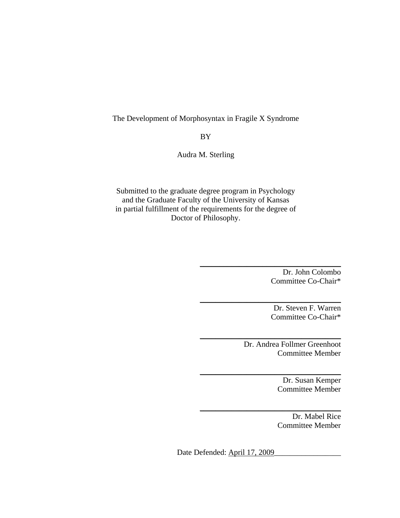# The Development of Morphosyntax in Fragile X Syndrome

BY

Audra M. Sterling

Submitted to the graduate degree program in Psychology and the Graduate Faculty of the University of Kansas in partial fulfillment of the requirements for the degree of Doctor of Philosophy.

> Dr. John Colombo Committee Co-Chair\*

\_\_\_\_\_\_\_\_\_\_\_\_\_\_\_\_\_\_\_\_\_\_\_\_\_\_\_\_\_\_\_\_\_\_\_\_

\_\_\_\_\_\_\_\_\_\_\_\_\_\_\_\_\_\_\_\_\_\_\_\_\_\_\_\_\_\_\_\_\_\_\_\_

\_\_\_\_\_\_\_\_\_\_\_\_\_\_\_\_\_\_\_\_\_\_\_\_\_\_\_\_\_\_\_\_\_\_\_\_

\_\_\_\_\_\_\_\_\_\_\_\_\_\_\_\_\_\_\_\_\_\_\_\_\_\_\_\_\_\_\_\_\_\_\_\_

\_\_\_\_\_\_\_\_\_\_\_\_\_\_\_\_\_\_\_\_\_\_\_\_\_\_\_\_\_\_\_\_\_\_\_\_

Dr. Steven F. Warren Committee Co-Chair\*

Dr. Andrea Follmer Greenhoot Committee Member

> Dr. Susan Kemper Committee Member

> Dr. Mabel Rice Committee Member

Date Defended: April 17, 2009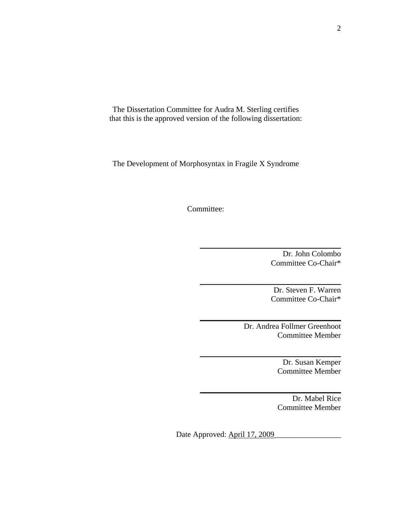The Dissertation Committee for Audra M. Sterling certifies that this is the approved version of the following dissertation:

The Development of Morphosyntax in Fragile X Syndrome

Committee:

Dr. John Colombo Committee Co-Chair\*

Dr. Steven F. Warren Committee Co-Chair\*

Dr. Andrea Follmer Greenhoot Committee Member

\_\_\_\_\_\_\_\_\_\_\_\_\_\_\_\_\_\_\_\_\_\_\_\_\_\_\_\_\_\_\_\_\_\_\_\_

\_\_\_\_\_\_\_\_\_\_\_\_\_\_\_\_\_\_\_\_\_\_\_\_\_\_\_\_\_\_\_\_\_\_\_\_

\_\_\_\_\_\_\_\_\_\_\_\_\_\_\_\_\_\_\_\_\_\_\_\_\_\_\_\_\_\_\_\_\_\_\_\_

\_\_\_\_\_\_\_\_\_\_\_\_\_\_\_\_\_\_\_\_\_\_\_\_\_\_\_\_\_\_\_\_\_\_\_\_

\_\_\_\_\_\_\_\_\_\_\_\_\_\_\_\_\_\_\_\_\_\_\_\_\_\_\_\_\_\_\_\_\_\_\_\_

Dr. Susan Kemper Committee Member

Dr. Mabel Rice Committee Member

Date Approved: April 17, 2009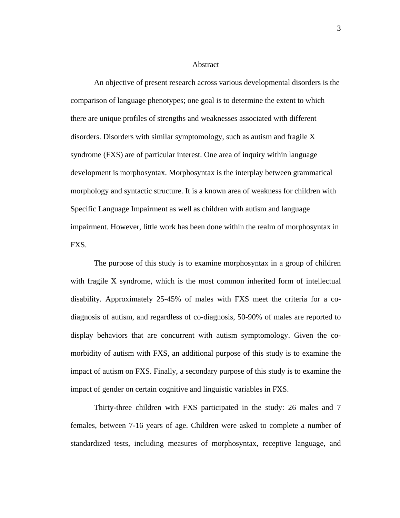### Abstract

An objective of present research across various developmental disorders is the comparison of language phenotypes; one goal is to determine the extent to which there are unique profiles of strengths and weaknesses associated with different disorders. Disorders with similar symptomology, such as autism and fragile X syndrome (FXS) are of particular interest. One area of inquiry within language development is morphosyntax. Morphosyntax is the interplay between grammatical morphology and syntactic structure. It is a known area of weakness for children with Specific Language Impairment as well as children with autism and language impairment. However, little work has been done within the realm of morphosyntax in FXS.

The purpose of this study is to examine morphosyntax in a group of children with fragile X syndrome, which is the most common inherited form of intellectual disability. Approximately 25-45% of males with FXS meet the criteria for a codiagnosis of autism, and regardless of co-diagnosis, 50-90% of males are reported to display behaviors that are concurrent with autism symptomology. Given the comorbidity of autism with FXS, an additional purpose of this study is to examine the impact of autism on FXS. Finally, a secondary purpose of this study is to examine the impact of gender on certain cognitive and linguistic variables in FXS.

Thirty-three children with FXS participated in the study: 26 males and 7 females, between 7-16 years of age. Children were asked to complete a number of standardized tests, including measures of morphosyntax, receptive language, and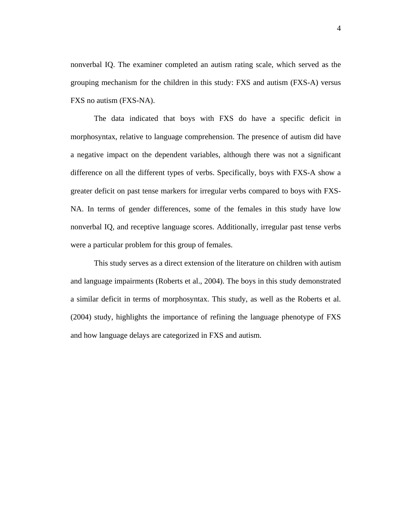nonverbal IQ. The examiner completed an autism rating scale, which served as the grouping mechanism for the children in this study: FXS and autism (FXS-A) versus FXS no autism (FXS-NA).

The data indicated that boys with FXS do have a specific deficit in morphosyntax, relative to language comprehension. The presence of autism did have a negative impact on the dependent variables, although there was not a significant difference on all the different types of verbs. Specifically, boys with FXS-A show a greater deficit on past tense markers for irregular verbs compared to boys with FXS-NA. In terms of gender differences, some of the females in this study have low nonverbal IQ, and receptive language scores. Additionally, irregular past tense verbs were a particular problem for this group of females.

This study serves as a direct extension of the literature on children with autism and language impairments (Roberts et al., 2004). The boys in this study demonstrated a similar deficit in terms of morphosyntax. This study, as well as the Roberts et al. (2004) study, highlights the importance of refining the language phenotype of FXS and how language delays are categorized in FXS and autism.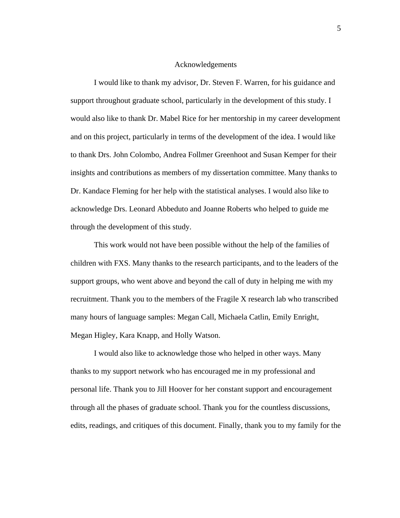#### Acknowledgements

 I would like to thank my advisor, Dr. Steven F. Warren, for his guidance and support throughout graduate school, particularly in the development of this study. I would also like to thank Dr. Mabel Rice for her mentorship in my career development and on this project, particularly in terms of the development of the idea. I would like to thank Drs. John Colombo, Andrea Follmer Greenhoot and Susan Kemper for their insights and contributions as members of my dissertation committee. Many thanks to Dr. Kandace Fleming for her help with the statistical analyses. I would also like to acknowledge Drs. Leonard Abbeduto and Joanne Roberts who helped to guide me through the development of this study.

 This work would not have been possible without the help of the families of children with FXS. Many thanks to the research participants, and to the leaders of the support groups, who went above and beyond the call of duty in helping me with my recruitment. Thank you to the members of the Fragile X research lab who transcribed many hours of language samples: Megan Call, Michaela Catlin, Emily Enright, Megan Higley, Kara Knapp, and Holly Watson.

 I would also like to acknowledge those who helped in other ways. Many thanks to my support network who has encouraged me in my professional and personal life. Thank you to Jill Hoover for her constant support and encouragement through all the phases of graduate school. Thank you for the countless discussions, edits, readings, and critiques of this document. Finally, thank you to my family for the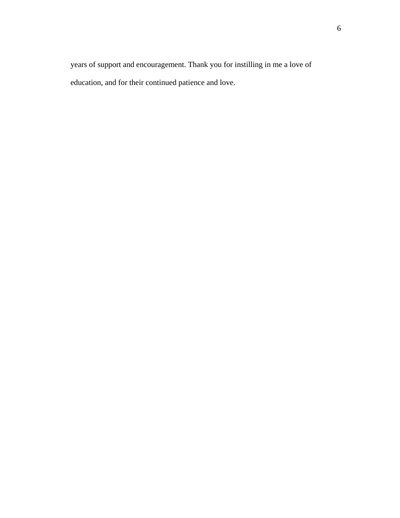years of support and encouragement. Thank you for instilling in me a love of education, and for their continued patience and love.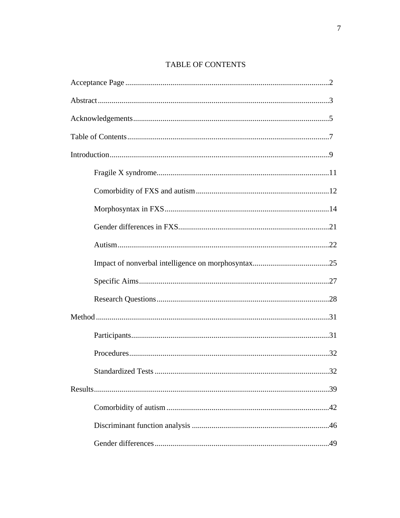# TABLE OF CONTENTS

| 32 |
|----|
|    |
|    |
|    |
|    |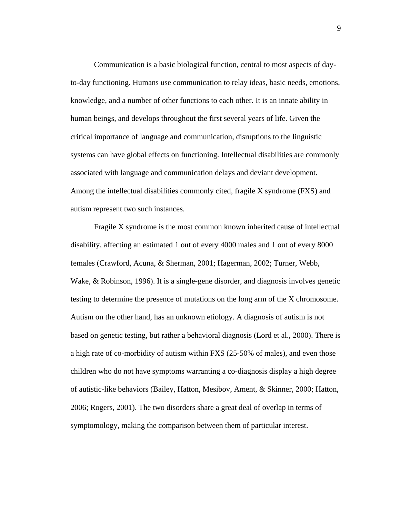Communication is a basic biological function, central to most aspects of dayto-day functioning. Humans use communication to relay ideas, basic needs, emotions, knowledge, and a number of other functions to each other. It is an innate ability in human beings, and develops throughout the first several years of life. Given the critical importance of language and communication, disruptions to the linguistic systems can have global effects on functioning. Intellectual disabilities are commonly associated with language and communication delays and deviant development. Among the intellectual disabilities commonly cited, fragile X syndrome (FXS) and autism represent two such instances.

Fragile X syndrome is the most common known inherited cause of intellectual disability, affecting an estimated 1 out of every 4000 males and 1 out of every 8000 females (Crawford, Acuna, & Sherman, 2001; Hagerman, 2002; Turner, Webb, Wake, & Robinson, 1996). It is a single-gene disorder, and diagnosis involves genetic testing to determine the presence of mutations on the long arm of the X chromosome. Autism on the other hand, has an unknown etiology. A diagnosis of autism is not based on genetic testing, but rather a behavioral diagnosis (Lord et al., 2000). There is a high rate of co-morbidity of autism within FXS (25-50% of males), and even those children who do not have symptoms warranting a co-diagnosis display a high degree of autistic-like behaviors (Bailey, Hatton, Mesibov, Ament, & Skinner, 2000; Hatton, 2006; Rogers, 2001). The two disorders share a great deal of overlap in terms of symptomology, making the comparison between them of particular interest.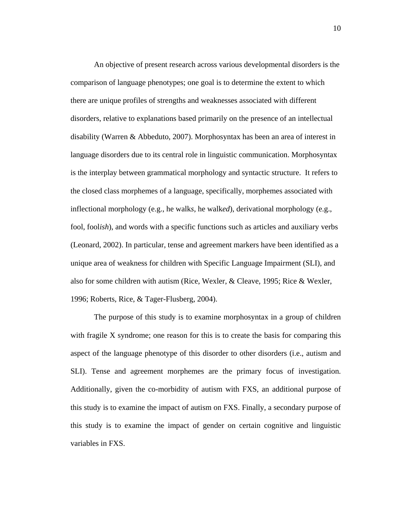An objective of present research across various developmental disorders is the comparison of language phenotypes; one goal is to determine the extent to which there are unique profiles of strengths and weaknesses associated with different disorders, relative to explanations based primarily on the presence of an intellectual disability (Warren & Abbeduto, 2007). Morphosyntax has been an area of interest in language disorders due to its central role in linguistic communication. Morphosyntax is the interplay between grammatical morphology and syntactic structure. It refers to the closed class morphemes of a language, specifically, morphemes associated with inflectional morphology (e.g., he walk*s*, he walk*ed*), derivational morphology (e.g., fool, fool*ish*), and words with a specific functions such as articles and auxiliary verbs (Leonard, 2002). In particular, tense and agreement markers have been identified as a unique area of weakness for children with Specific Language Impairment (SLI), and also for some children with autism (Rice, Wexler, & Cleave, 1995; Rice & Wexler, 1996; Roberts, Rice, & Tager-Flusberg, 2004).

The purpose of this study is to examine morphosyntax in a group of children with fragile X syndrome; one reason for this is to create the basis for comparing this aspect of the language phenotype of this disorder to other disorders (i.e., autism and SLI). Tense and agreement morphemes are the primary focus of investigation. Additionally, given the co-morbidity of autism with FXS, an additional purpose of this study is to examine the impact of autism on FXS. Finally, a secondary purpose of this study is to examine the impact of gender on certain cognitive and linguistic variables in FXS.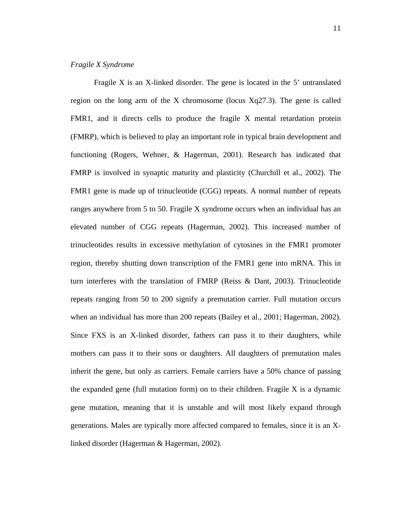## *Fragile X Syndrome*

Fragile X is an X-linked disorder. The gene is located in the 5' untranslated region on the long arm of the X chromosome (locus Xq27.3). The gene is called FMR1, and it directs cells to produce the fragile X mental retardation protein (FMRP), which is believed to play an important role in typical brain development and functioning (Rogers, Wehner, & Hagerman, 2001). Research has indicated that FMRP is involved in synaptic maturity and plasticity (Churchill et al., 2002). The FMR1 gene is made up of trinucleotide (CGG) repeats. A normal number of repeats ranges anywhere from 5 to 50. Fragile X syndrome occurs when an individual has an elevated number of CGG repeats (Hagerman, 2002). This increased number of trinucleotides results in excessive methylation of cytosines in the FMR1 promoter region, thereby shutting down transcription of the FMR1 gene into mRNA. This in turn interferes with the translation of FMRP (Reiss & Dant, 2003). Trinucleotide repeats ranging from 50 to 200 signify a premutation carrier. Full mutation occurs when an individual has more than 200 repeats (Bailey et al., 2001; Hagerman, 2002). Since FXS is an X-linked disorder, fathers can pass it to their daughters, while mothers can pass it to their sons or daughters. All daughters of premutation males inherit the gene, but only as carriers. Female carriers have a 50% chance of passing the expanded gene (full mutation form) on to their children. Fragile X is a dynamic gene mutation, meaning that it is unstable and will most likely expand through generations. Males are typically more affected compared to females, since it is an Xlinked disorder (Hagerman & Hagerman, 2002).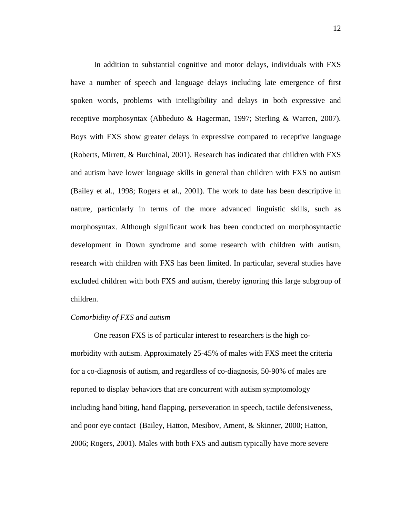In addition to substantial cognitive and motor delays, individuals with FXS have a number of speech and language delays including late emergence of first spoken words, problems with intelligibility and delays in both expressive and receptive morphosyntax (Abbeduto & Hagerman, 1997; Sterling & Warren, 2007). Boys with FXS show greater delays in expressive compared to receptive language (Roberts, Mirrett, & Burchinal, 2001). Research has indicated that children with FXS and autism have lower language skills in general than children with FXS no autism (Bailey et al., 1998; Rogers et al., 2001). The work to date has been descriptive in nature, particularly in terms of the more advanced linguistic skills, such as morphosyntax. Although significant work has been conducted on morphosyntactic development in Down syndrome and some research with children with autism, research with children with FXS has been limited. In particular, several studies have excluded children with both FXS and autism, thereby ignoring this large subgroup of children.

#### *Comorbidity of FXS and autism*

One reason FXS is of particular interest to researchers is the high comorbidity with autism. Approximately 25-45% of males with FXS meet the criteria for a co-diagnosis of autism, and regardless of co-diagnosis, 50-90% of males are reported to display behaviors that are concurrent with autism symptomology including hand biting, hand flapping, perseveration in speech, tactile defensiveness, and poor eye contact (Bailey, Hatton, Mesibov, Ament, & Skinner, 2000; Hatton, 2006; Rogers, 2001). Males with both FXS and autism typically have more severe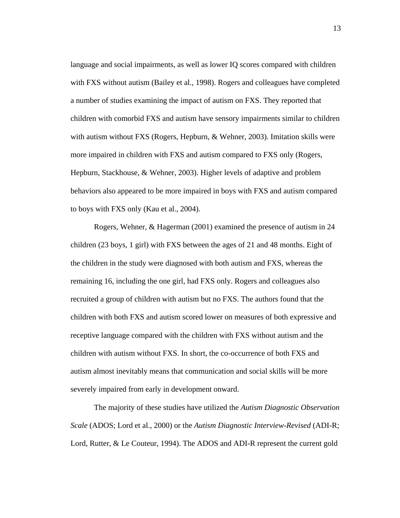language and social impairments, as well as lower IQ scores compared with children with FXS without autism (Bailey et al., 1998). Rogers and colleagues have completed a number of studies examining the impact of autism on FXS. They reported that children with comorbid FXS and autism have sensory impairments similar to children with autism without FXS (Rogers, Hepburn, & Wehner, 2003). Imitation skills were more impaired in children with FXS and autism compared to FXS only (Rogers, Hepburn, Stackhouse, & Wehner, 2003). Higher levels of adaptive and problem behaviors also appeared to be more impaired in boys with FXS and autism compared to boys with FXS only (Kau et al., 2004).

Rogers, Wehner, & Hagerman (2001) examined the presence of autism in 24 children (23 boys, 1 girl) with FXS between the ages of 21 and 48 months. Eight of the children in the study were diagnosed with both autism and FXS, whereas the remaining 16, including the one girl, had FXS only. Rogers and colleagues also recruited a group of children with autism but no FXS. The authors found that the children with both FXS and autism scored lower on measures of both expressive and receptive language compared with the children with FXS without autism and the children with autism without FXS. In short, the co-occurrence of both FXS and autism almost inevitably means that communication and social skills will be more severely impaired from early in development onward.

The majority of these studies have utilized the *Autism Diagnostic Observation Scale* (ADOS; Lord et al., 2000) or the *Autism Diagnostic Interview-Revised* (ADI-R; Lord, Rutter, & Le Couteur, 1994). The ADOS and ADI-R represent the current gold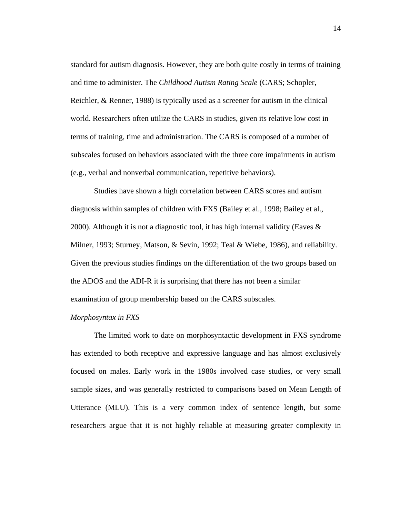standard for autism diagnosis. However, they are both quite costly in terms of training and time to administer. The *Childhood Autism Rating Scale* (CARS; Schopler, Reichler, & Renner, 1988) is typically used as a screener for autism in the clinical world. Researchers often utilize the CARS in studies, given its relative low cost in terms of training, time and administration. The CARS is composed of a number of subscales focused on behaviors associated with the three core impairments in autism (e.g., verbal and nonverbal communication, repetitive behaviors).

Studies have shown a high correlation between CARS scores and autism diagnosis within samples of children with FXS (Bailey et al., 1998; Bailey et al., 2000). Although it is not a diagnostic tool, it has high internal validity (Eaves  $\&$ Milner, 1993; Sturney, Matson, & Sevin, 1992; Teal & Wiebe, 1986), and reliability. Given the previous studies findings on the differentiation of the two groups based on the ADOS and the ADI-R it is surprising that there has not been a similar examination of group membership based on the CARS subscales.

#### *Morphosyntax in FXS*

The limited work to date on morphosyntactic development in FXS syndrome has extended to both receptive and expressive language and has almost exclusively focused on males. Early work in the 1980s involved case studies, or very small sample sizes, and was generally restricted to comparisons based on Mean Length of Utterance (MLU). This is a very common index of sentence length, but some researchers argue that it is not highly reliable at measuring greater complexity in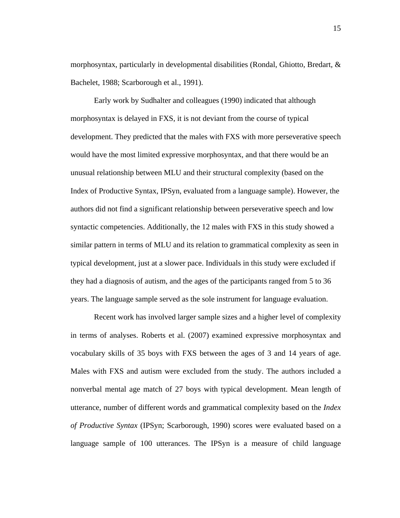morphosyntax, particularly in developmental disabilities (Rondal, Ghiotto, Bredart, & Bachelet, 1988; Scarborough et al., 1991).

Early work by Sudhalter and colleagues (1990) indicated that although morphosyntax is delayed in FXS, it is not deviant from the course of typical development. They predicted that the males with FXS with more perseverative speech would have the most limited expressive morphosyntax, and that there would be an unusual relationship between MLU and their structural complexity (based on the Index of Productive Syntax, IPSyn, evaluated from a language sample). However, the authors did not find a significant relationship between perseverative speech and low syntactic competencies. Additionally, the 12 males with FXS in this study showed a similar pattern in terms of MLU and its relation to grammatical complexity as seen in typical development, just at a slower pace. Individuals in this study were excluded if they had a diagnosis of autism, and the ages of the participants ranged from 5 to 36 years. The language sample served as the sole instrument for language evaluation.

Recent work has involved larger sample sizes and a higher level of complexity in terms of analyses. Roberts et al. (2007) examined expressive morphosyntax and vocabulary skills of 35 boys with FXS between the ages of 3 and 14 years of age. Males with FXS and autism were excluded from the study. The authors included a nonverbal mental age match of 27 boys with typical development. Mean length of utterance, number of different words and grammatical complexity based on the *Index of Productive Syntax* (IPSyn; Scarborough, 1990) scores were evaluated based on a language sample of 100 utterances. The IPSyn is a measure of child language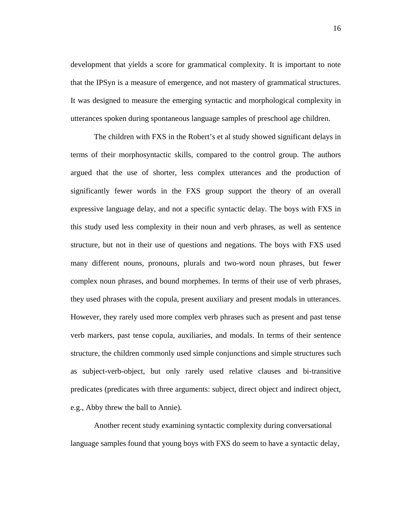development that yields a score for grammatical complexity. It is important to note that the IPSyn is a measure of emergence, and not mastery of grammatical structures. It was designed to measure the emerging syntactic and morphological complexity in utterances spoken during spontaneous language samples of preschool age children.

The children with FXS in the Robert's et al study showed significant delays in terms of their morphosyntactic skills, compared to the control group. The authors argued that the use of shorter, less complex utterances and the production of significantly fewer words in the FXS group support the theory of an overall expressive language delay, and not a specific syntactic delay. The boys with FXS in this study used less complexity in their noun and verb phrases, as well as sentence structure, but not in their use of questions and negations. The boys with FXS used many different nouns, pronouns, plurals and two-word noun phrases, but fewer complex noun phrases, and bound morphemes. In terms of their use of verb phrases, they used phrases with the copula, present auxiliary and present modals in utterances. However, they rarely used more complex verb phrases such as present and past tense verb markers, past tense copula, auxiliaries, and modals. In terms of their sentence structure, the children commonly used simple conjunctions and simple structures such as subject-verb-object, but only rarely used relative clauses and bi-transitive predicates (predicates with three arguments: subject, direct object and indirect object, e.g., Abby threw the ball to Annie).

Another recent study examining syntactic complexity during conversational language samples found that young boys with FXS do seem to have a syntactic delay,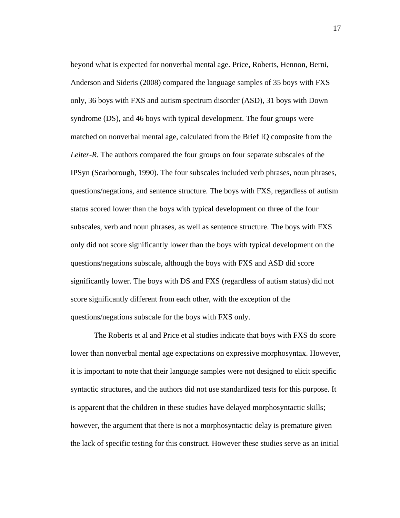beyond what is expected for nonverbal mental age. Price, Roberts, Hennon, Berni, Anderson and Sideris (2008) compared the language samples of 35 boys with FXS only, 36 boys with FXS and autism spectrum disorder (ASD), 31 boys with Down syndrome (DS), and 46 boys with typical development. The four groups were matched on nonverbal mental age, calculated from the Brief IQ composite from the *Leiter-R*. The authors compared the four groups on four separate subscales of the IPSyn (Scarborough, 1990). The four subscales included verb phrases, noun phrases, questions/negations, and sentence structure. The boys with FXS, regardless of autism status scored lower than the boys with typical development on three of the four subscales, verb and noun phrases, as well as sentence structure. The boys with FXS only did not score significantly lower than the boys with typical development on the questions/negations subscale, although the boys with FXS and ASD did score significantly lower. The boys with DS and FXS (regardless of autism status) did not score significantly different from each other, with the exception of the questions/negations subscale for the boys with FXS only.

The Roberts et al and Price et al studies indicate that boys with FXS do score lower than nonverbal mental age expectations on expressive morphosyntax. However, it is important to note that their language samples were not designed to elicit specific syntactic structures, and the authors did not use standardized tests for this purpose. It is apparent that the children in these studies have delayed morphosyntactic skills; however, the argument that there is not a morphosyntactic delay is premature given the lack of specific testing for this construct. However these studies serve as an initial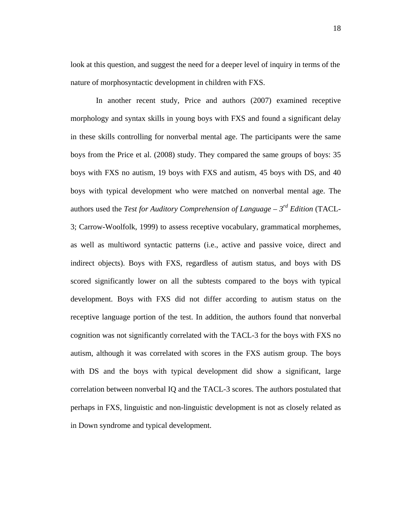look at this question, and suggest the need for a deeper level of inquiry in terms of the nature of morphosyntactic development in children with FXS.

 In another recent study, Price and authors (2007) examined receptive morphology and syntax skills in young boys with FXS and found a significant delay in these skills controlling for nonverbal mental age. The participants were the same boys from the Price et al. (2008) study. They compared the same groups of boys: 35 boys with FXS no autism, 19 boys with FXS and autism, 45 boys with DS, and 40 boys with typical development who were matched on nonverbal mental age. The authors used the *Test for Auditory Comprehension of Language – 3rd Edition* (TACL-3; Carrow-Woolfolk, 1999) to assess receptive vocabulary, grammatical morphemes, as well as multiword syntactic patterns (i.e., active and passive voice, direct and indirect objects). Boys with FXS, regardless of autism status, and boys with DS scored significantly lower on all the subtests compared to the boys with typical development. Boys with FXS did not differ according to autism status on the receptive language portion of the test. In addition, the authors found that nonverbal cognition was not significantly correlated with the TACL-3 for the boys with FXS no autism, although it was correlated with scores in the FXS autism group. The boys with DS and the boys with typical development did show a significant, large correlation between nonverbal IQ and the TACL-3 scores. The authors postulated that perhaps in FXS, linguistic and non-linguistic development is not as closely related as in Down syndrome and typical development.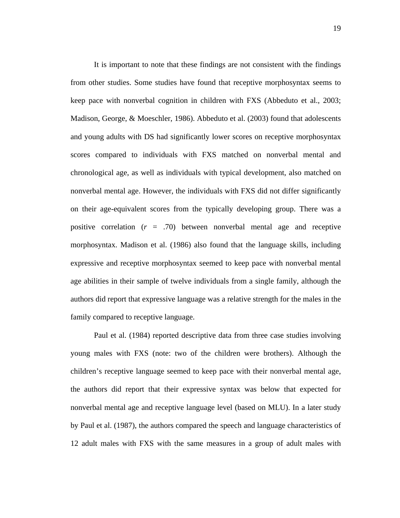It is important to note that these findings are not consistent with the findings from other studies. Some studies have found that receptive morphosyntax seems to keep pace with nonverbal cognition in children with FXS (Abbeduto et al., 2003; Madison, George, & Moeschler, 1986). Abbeduto et al. (2003) found that adolescents and young adults with DS had significantly lower scores on receptive morphosyntax scores compared to individuals with FXS matched on nonverbal mental and chronological age, as well as individuals with typical development, also matched on nonverbal mental age. However, the individuals with FXS did not differ significantly on their age-equivalent scores from the typically developing group. There was a positive correlation  $(r = .70)$  between nonverbal mental age and receptive morphosyntax. Madison et al. (1986) also found that the language skills, including expressive and receptive morphosyntax seemed to keep pace with nonverbal mental age abilities in their sample of twelve individuals from a single family, although the authors did report that expressive language was a relative strength for the males in the family compared to receptive language.

Paul et al. (1984) reported descriptive data from three case studies involving young males with FXS (note: two of the children were brothers). Although the children's receptive language seemed to keep pace with their nonverbal mental age, the authors did report that their expressive syntax was below that expected for nonverbal mental age and receptive language level (based on MLU). In a later study by Paul et al. (1987), the authors compared the speech and language characteristics of 12 adult males with FXS with the same measures in a group of adult males with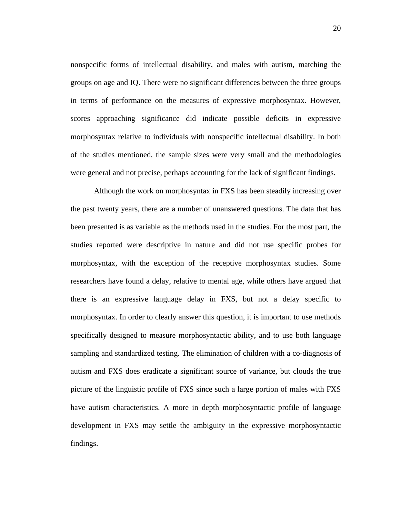nonspecific forms of intellectual disability, and males with autism, matching the groups on age and IQ. There were no significant differences between the three groups in terms of performance on the measures of expressive morphosyntax. However, scores approaching significance did indicate possible deficits in expressive morphosyntax relative to individuals with nonspecific intellectual disability. In both of the studies mentioned, the sample sizes were very small and the methodologies were general and not precise, perhaps accounting for the lack of significant findings.

Although the work on morphosyntax in FXS has been steadily increasing over the past twenty years, there are a number of unanswered questions. The data that has been presented is as variable as the methods used in the studies. For the most part, the studies reported were descriptive in nature and did not use specific probes for morphosyntax, with the exception of the receptive morphosyntax studies. Some researchers have found a delay, relative to mental age, while others have argued that there is an expressive language delay in FXS, but not a delay specific to morphosyntax. In order to clearly answer this question, it is important to use methods specifically designed to measure morphosyntactic ability, and to use both language sampling and standardized testing. The elimination of children with a co-diagnosis of autism and FXS does eradicate a significant source of variance, but clouds the true picture of the linguistic profile of FXS since such a large portion of males with FXS have autism characteristics. A more in depth morphosyntactic profile of language development in FXS may settle the ambiguity in the expressive morphosyntactic findings.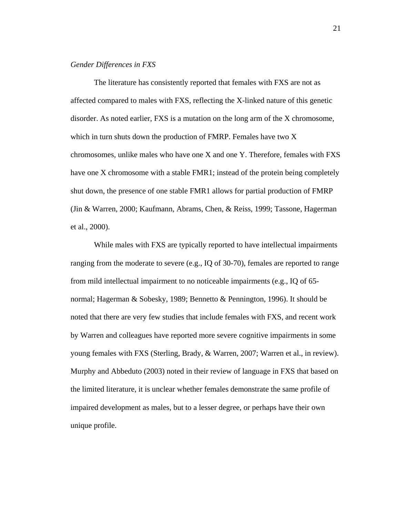## *Gender Differences in FXS*

 The literature has consistently reported that females with FXS are not as affected compared to males with FXS, reflecting the X-linked nature of this genetic disorder. As noted earlier, FXS is a mutation on the long arm of the X chromosome, which in turn shuts down the production of FMRP. Females have two X chromosomes, unlike males who have one X and one Y. Therefore, females with FXS have one X chromosome with a stable FMR1; instead of the protein being completely shut down, the presence of one stable FMR1 allows for partial production of FMRP (Jin & Warren, 2000; Kaufmann, Abrams, Chen, & Reiss, 1999; Tassone, Hagerman et al., 2000).

While males with FXS are typically reported to have intellectual impairments ranging from the moderate to severe (e.g., IQ of 30-70), females are reported to range from mild intellectual impairment to no noticeable impairments (e.g., IQ of 65 normal; Hagerman & Sobesky, 1989; Bennetto & Pennington, 1996). It should be noted that there are very few studies that include females with FXS, and recent work by Warren and colleagues have reported more severe cognitive impairments in some young females with FXS (Sterling, Brady, & Warren, 2007; Warren et al., in review). Murphy and Abbeduto (2003) noted in their review of language in FXS that based on the limited literature, it is unclear whether females demonstrate the same profile of impaired development as males, but to a lesser degree, or perhaps have their own unique profile.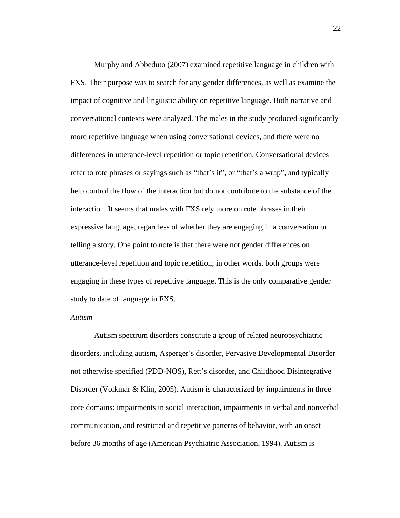Murphy and Abbeduto (2007) examined repetitive language in children with FXS. Their purpose was to search for any gender differences, as well as examine the impact of cognitive and linguistic ability on repetitive language. Both narrative and conversational contexts were analyzed. The males in the study produced significantly more repetitive language when using conversational devices, and there were no differences in utterance-level repetition or topic repetition. Conversational devices refer to rote phrases or sayings such as "that's it", or "that's a wrap", and typically help control the flow of the interaction but do not contribute to the substance of the interaction. It seems that males with FXS rely more on rote phrases in their expressive language, regardless of whether they are engaging in a conversation or telling a story. One point to note is that there were not gender differences on utterance-level repetition and topic repetition; in other words, both groups were engaging in these types of repetitive language. This is the only comparative gender study to date of language in FXS.

#### *Autism*

Autism spectrum disorders constitute a group of related neuropsychiatric disorders, including autism, Asperger's disorder, Pervasive Developmental Disorder not otherwise specified (PDD-NOS), Rett's disorder, and Childhood Disintegrative Disorder (Volkmar & Klin, 2005). Autism is characterized by impairments in three core domains: impairments in social interaction, impairments in verbal and nonverbal communication, and restricted and repetitive patterns of behavior, with an onset before 36 months of age (American Psychiatric Association, 1994). Autism is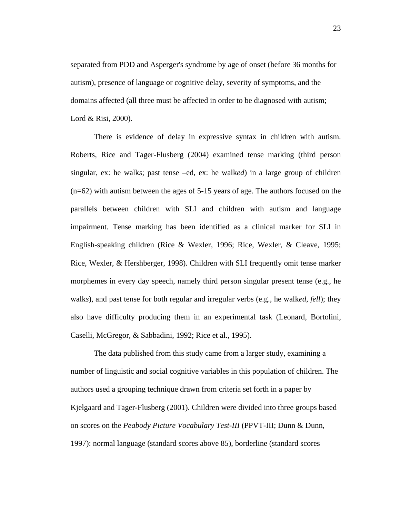separated from PDD and Asperger's syndrome by age of onset (before 36 months for autism), presence of language or cognitive delay, severity of symptoms, and the domains affected (all three must be affected in order to be diagnosed with autism; Lord & Risi, 2000).

There is evidence of delay in expressive syntax in children with autism. Roberts, Rice and Tager-Flusberg (2004) examined tense marking (third person singular, ex: he walk*s*; past tense –ed, ex: he walk*ed*) in a large group of children (n=62) with autism between the ages of 5-15 years of age. The authors focused on the parallels between children with SLI and children with autism and language impairment. Tense marking has been identified as a clinical marker for SLI in English-speaking children (Rice & Wexler, 1996; Rice, Wexler, & Cleave, 1995; Rice, Wexler, & Hershberger, 1998). Children with SLI frequently omit tense marker morphemes in every day speech, namely third person singular present tense (e.g., he walk*s*), and past tense for both regular and irregular verbs (e.g., he walk*ed*, *fell*); they also have difficulty producing them in an experimental task (Leonard, Bortolini, Caselli, McGregor, & Sabbadini, 1992; Rice et al., 1995).

The data published from this study came from a larger study, examining a number of linguistic and social cognitive variables in this population of children. The authors used a grouping technique drawn from criteria set forth in a paper by Kjelgaard and Tager-Flusberg (2001). Children were divided into three groups based on scores on the *Peabody Picture Vocabulary Test-III* (PPVT-III; Dunn & Dunn, 1997): normal language (standard scores above 85), borderline (standard scores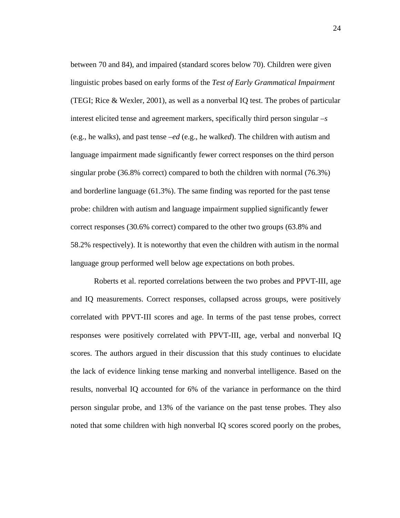between 70 and 84), and impaired (standard scores below 70). Children were given linguistic probes based on early forms of the *Test of Early Grammatical Impairment* (TEGI; Rice & Wexler, 2001), as well as a nonverbal IQ test. The probes of particular interest elicited tense and agreement markers, specifically third person singular –*s* (e.g., he walk*s*), and past tense –*ed* (e.g., he walk*ed*). The children with autism and language impairment made significantly fewer correct responses on the third person singular probe (36.8% correct) compared to both the children with normal (76.3%) and borderline language (61.3%). The same finding was reported for the past tense probe: children with autism and language impairment supplied significantly fewer correct responses (30.6% correct) compared to the other two groups (63.8% and 58.2% respectively). It is noteworthy that even the children with autism in the normal language group performed well below age expectations on both probes.

Roberts et al. reported correlations between the two probes and PPVT-III, age and IQ measurements. Correct responses, collapsed across groups, were positively correlated with PPVT-III scores and age. In terms of the past tense probes, correct responses were positively correlated with PPVT-III, age, verbal and nonverbal IQ scores. The authors argued in their discussion that this study continues to elucidate the lack of evidence linking tense marking and nonverbal intelligence. Based on the results, nonverbal IQ accounted for 6% of the variance in performance on the third person singular probe, and 13% of the variance on the past tense probes. They also noted that some children with high nonverbal IQ scores scored poorly on the probes,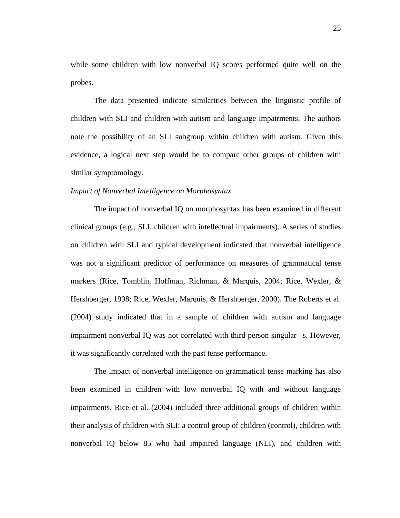while some children with low nonverbal IQ scores performed quite well on the probes.

The data presented indicate similarities between the linguistic profile of children with SLI and children with autism and language impairments. The authors note the possibility of an SLI subgroup within children with autism. Given this evidence, a logical next step would be to compare other groups of children with similar symptomology.

#### *Impact of Nonverbal Intelligence on Morphosyntax*

The impact of nonverbal IQ on morphosyntax has been examined in different clinical groups (e.g., SLI, children with intellectual impairments). A series of studies on children with SLI and typical development indicated that nonverbal intelligence was not a significant predictor of performance on measures of grammatical tense markers (Rice, Tomblin, Hoffman, Richman, & Marquis, 2004; Rice, Wexler, & Hershberger, 1998; Rice, Wexler, Marquis, & Hershberger, 2000). The Roberts et al. (2004) study indicated that in a sample of children with autism and language impairment nonverbal IQ was not correlated with third person singular –s. However, it was significantly correlated with the past tense performance.

The impact of nonverbal intelligence on grammatical tense marking has also been examined in children with low nonverbal IQ with and without language impairments. Rice et al. (2004) included three additional groups of children within their analysis of children with SLI: a control group of children (control), children with nonverbal IQ below 85 who had impaired language (NLI), and children with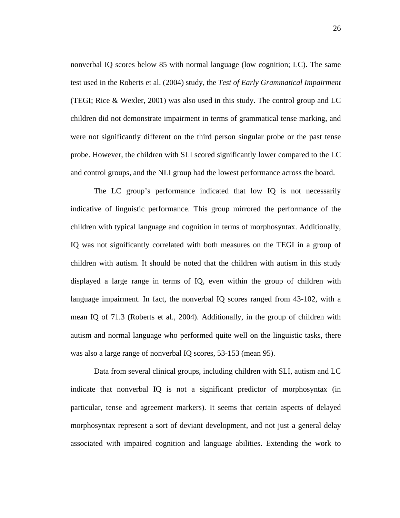nonverbal IQ scores below 85 with normal language (low cognition; LC). The same test used in the Roberts et al. (2004) study, the *Test of Early Grammatical Impairment* (TEGI; Rice & Wexler, 2001) was also used in this study. The control group and LC children did not demonstrate impairment in terms of grammatical tense marking, and were not significantly different on the third person singular probe or the past tense probe. However, the children with SLI scored significantly lower compared to the LC and control groups, and the NLI group had the lowest performance across the board.

The LC group's performance indicated that low IQ is not necessarily indicative of linguistic performance. This group mirrored the performance of the children with typical language and cognition in terms of morphosyntax. Additionally, IQ was not significantly correlated with both measures on the TEGI in a group of children with autism. It should be noted that the children with autism in this study displayed a large range in terms of IQ, even within the group of children with language impairment. In fact, the nonverbal IQ scores ranged from 43-102, with a mean IQ of 71.3 (Roberts et al., 2004). Additionally, in the group of children with autism and normal language who performed quite well on the linguistic tasks, there was also a large range of nonverbal IQ scores, 53-153 (mean 95).

Data from several clinical groups, including children with SLI, autism and LC indicate that nonverbal IQ is not a significant predictor of morphosyntax (in particular, tense and agreement markers). It seems that certain aspects of delayed morphosyntax represent a sort of deviant development, and not just a general delay associated with impaired cognition and language abilities. Extending the work to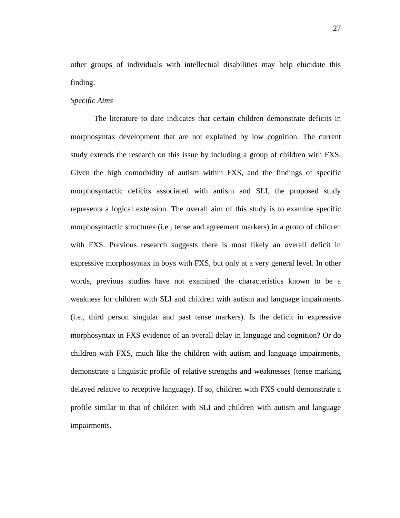other groups of individuals with intellectual disabilities may help elucidate this finding.

## *Specific Aims*

The literature to date indicates that certain children demonstrate deficits in morphosyntax development that are not explained by low cognition. The current study extends the research on this issue by including a group of children with FXS. Given the high comorbidity of autism within FXS, and the findings of specific morphosyntactic deficits associated with autism and SLI, the proposed study represents a logical extension. The overall aim of this study is to examine specific morphosyntactic structures (i.e., tense and agreement markers) in a group of children with FXS. Previous research suggests there is most likely an overall deficit in expressive morphosyntax in boys with FXS, but only at a very general level. In other words, previous studies have not examined the characteristics known to be a weakness for children with SLI and children with autism and language impairments (i.e., third person singular and past tense markers). Is the deficit in expressive morphosyntax in FXS evidence of an overall delay in language and cognition? Or do children with FXS, much like the children with autism and language impairments, demonstrate a linguistic profile of relative strengths and weaknesses (tense marking delayed relative to receptive language). If so, children with FXS could demonstrate a profile similar to that of children with SLI and children with autism and language impairments.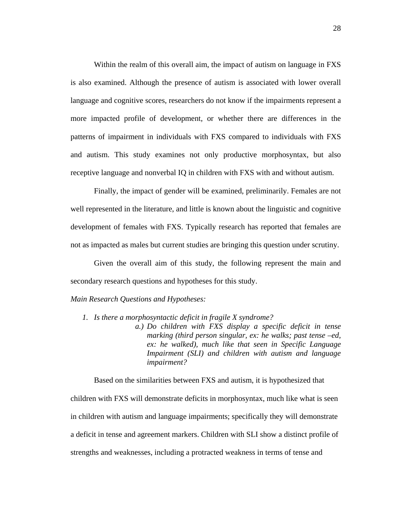Within the realm of this overall aim, the impact of autism on language in FXS is also examined. Although the presence of autism is associated with lower overall language and cognitive scores, researchers do not know if the impairments represent a more impacted profile of development, or whether there are differences in the patterns of impairment in individuals with FXS compared to individuals with FXS and autism. This study examines not only productive morphosyntax, but also receptive language and nonverbal IQ in children with FXS with and without autism.

Finally, the impact of gender will be examined, preliminarily. Females are not well represented in the literature, and little is known about the linguistic and cognitive development of females with FXS. Typically research has reported that females are not as impacted as males but current studies are bringing this question under scrutiny.

Given the overall aim of this study, the following represent the main and secondary research questions and hypotheses for this study.

### *Main Research Questions and Hypotheses:*

- *1. Is there a morphosyntactic deficit in fragile X syndrome?* 
	- *a.) Do children with FXS display a specific deficit in tense marking (third person singular, ex: he walks; past tense –ed, ex: he walked), much like that seen in Specific Language Impairment (SLI) and children with autism and language impairment?*

Based on the similarities between FXS and autism, it is hypothesized that children with FXS will demonstrate deficits in morphosyntax, much like what is seen in children with autism and language impairments; specifically they will demonstrate a deficit in tense and agreement markers. Children with SLI show a distinct profile of strengths and weaknesses, including a protracted weakness in terms of tense and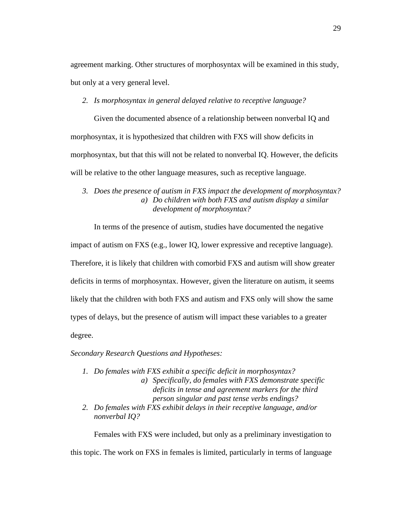agreement marking. Other structures of morphosyntax will be examined in this study, but only at a very general level.

*2. Is morphosyntax in general delayed relative to receptive language?* 

Given the documented absence of a relationship between nonverbal IQ and morphosyntax, it is hypothesized that children with FXS will show deficits in morphosyntax, but that this will not be related to nonverbal IQ. However, the deficits will be relative to the other language measures, such as receptive language.

*3. Does the presence of autism in FXS impact the development of morphosyntax? a) Do children with both FXS and autism display a similar development of morphosyntax?* 

In terms of the presence of autism, studies have documented the negative

impact of autism on FXS (e.g., lower IQ, lower expressive and receptive language).

Therefore, it is likely that children with comorbid FXS and autism will show greater

deficits in terms of morphosyntax. However, given the literature on autism, it seems

likely that the children with both FXS and autism and FXS only will show the same

types of delays, but the presence of autism will impact these variables to a greater

degree.

*Secondary Research Questions and Hypotheses:* 

- *1. Do females with FXS exhibit a specific deficit in morphosyntax?* 
	- *a) Specifically, do females with FXS demonstrate specific deficits in tense and agreement markers for the third person singular and past tense verbs endings?*
- *2. Do females with FXS exhibit delays in their receptive language, and/or nonverbal IQ?*

Females with FXS were included, but only as a preliminary investigation to this topic. The work on FXS in females is limited, particularly in terms of language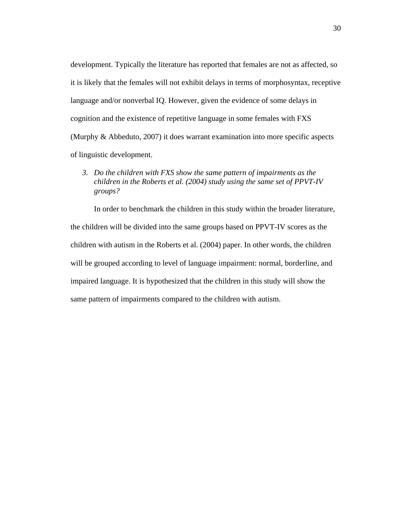development. Typically the literature has reported that females are not as affected, so it is likely that the females will not exhibit delays in terms of morphosyntax, receptive language and/or nonverbal IQ. However, given the evidence of some delays in cognition and the existence of repetitive language in some females with FXS (Murphy & Abbeduto, 2007) it does warrant examination into more specific aspects of linguistic development.

*3. Do the children with FXS show the same pattern of impairments as the children in the Roberts et al. (2004) study using the same set of PPVT-IV groups?* 

In order to benchmark the children in this study within the broader literature, the children will be divided into the same groups based on PPVT-IV scores as the children with autism in the Roberts et al. (2004) paper. In other words, the children will be grouped according to level of language impairment: normal, borderline, and impaired language. It is hypothesized that the children in this study will show the same pattern of impairments compared to the children with autism.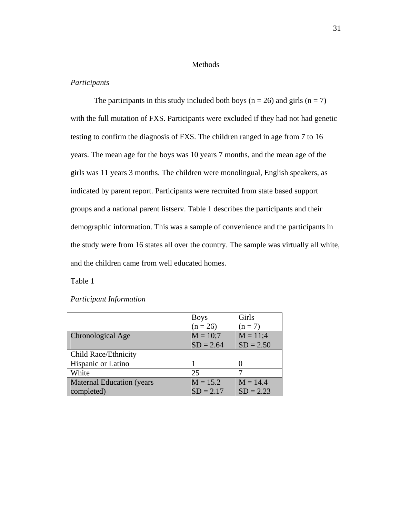## Methods

# *Participants*

The participants in this study included both boys ( $n = 26$ ) and girls ( $n = 7$ ) with the full mutation of FXS. Participants were excluded if they had not had genetic testing to confirm the diagnosis of FXS. The children ranged in age from 7 to 16 years. The mean age for the boys was 10 years 7 months, and the mean age of the girls was 11 years 3 months. The children were monolingual, English speakers, as indicated by parent report. Participants were recruited from state based support groups and a national parent listserv. Table 1 describes the participants and their demographic information. This was a sample of convenience and the participants in the study were from 16 states all over the country. The sample was virtually all white, and the children came from well educated homes.

Table 1

|                                  | <b>Boys</b> | Girls       |
|----------------------------------|-------------|-------------|
|                                  | $(n = 26)$  | $(n = 7)$   |
| Chronological Age                | $M = 10;7$  | $M = 11;4$  |
|                                  | $SD = 2.64$ | $SD = 2.50$ |
| Child Race/Ethnicity             |             |             |
| Hispanic or Latino               |             |             |
| White                            | 25          |             |
| <b>Maternal Education (years</b> | $M = 15.2$  | $M = 14.4$  |
| completed)                       | $SD = 2.17$ | $SD = 2.23$ |

## *Participant Information*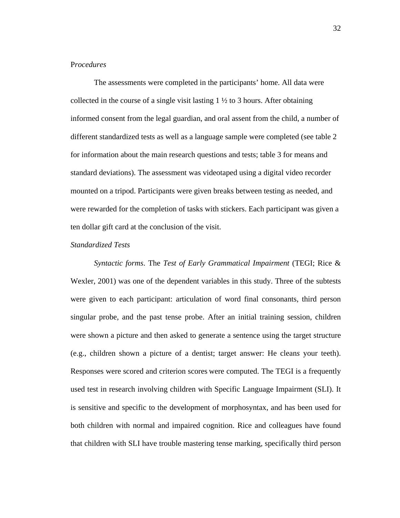# P*rocedures*

The assessments were completed in the participants' home. All data were collected in the course of a single visit lasting  $1 \frac{1}{2}$  to 3 hours. After obtaining informed consent from the legal guardian, and oral assent from the child, a number of different standardized tests as well as a language sample were completed (see table 2 for information about the main research questions and tests; table 3 for means and standard deviations). The assessment was videotaped using a digital video recorder mounted on a tripod. Participants were given breaks between testing as needed, and were rewarded for the completion of tasks with stickers. Each participant was given a ten dollar gift card at the conclusion of the visit.

#### *Standardized Tests*

*Syntactic forms*. The *Test of Early Grammatical Impairment* (TEGI; Rice & Wexler, 2001) was one of the dependent variables in this study. Three of the subtests were given to each participant: articulation of word final consonants, third person singular probe, and the past tense probe. After an initial training session, children were shown a picture and then asked to generate a sentence using the target structure (e.g., children shown a picture of a dentist; target answer: He clean*s* your teeth). Responses were scored and criterion scores were computed. The TEGI is a frequently used test in research involving children with Specific Language Impairment (SLI). It is sensitive and specific to the development of morphosyntax, and has been used for both children with normal and impaired cognition. Rice and colleagues have found that children with SLI have trouble mastering tense marking, specifically third person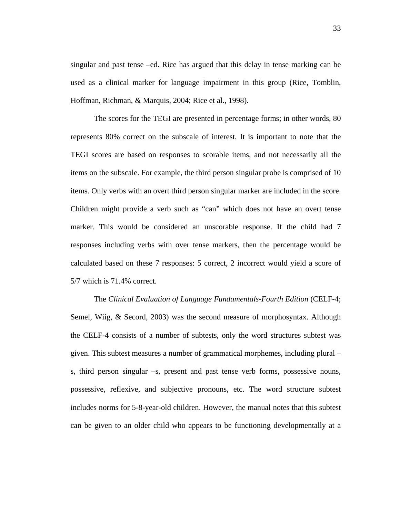singular and past tense –ed. Rice has argued that this delay in tense marking can be used as a clinical marker for language impairment in this group (Rice, Tomblin, Hoffman, Richman, & Marquis, 2004; Rice et al., 1998).

The scores for the TEGI are presented in percentage forms; in other words, 80 represents 80% correct on the subscale of interest. It is important to note that the TEGI scores are based on responses to scorable items, and not necessarily all the items on the subscale. For example, the third person singular probe is comprised of 10 items. Only verbs with an overt third person singular marker are included in the score. Children might provide a verb such as "can" which does not have an overt tense marker. This would be considered an unscorable response. If the child had 7 responses including verbs with over tense markers, then the percentage would be calculated based on these 7 responses: 5 correct, 2 incorrect would yield a score of 5/7 which is 71.4% correct.

The *Clinical Evaluation of Language Fundamentals-Fourth Edition* (CELF-4; Semel, Wiig, & Secord, 2003) was the second measure of morphosyntax. Although the CELF-4 consists of a number of subtests, only the word structures subtest was given. This subtest measures a number of grammatical morphemes, including plural – s, third person singular –s, present and past tense verb forms, possessive nouns, possessive, reflexive, and subjective pronouns, etc. The word structure subtest includes norms for 5-8-year-old children. However, the manual notes that this subtest can be given to an older child who appears to be functioning developmentally at a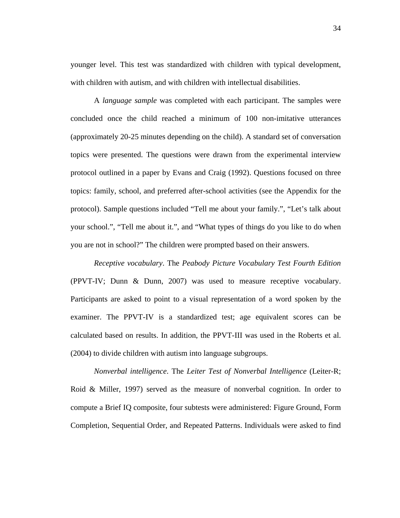younger level. This test was standardized with children with typical development, with children with autism, and with children with intellectual disabilities.

A *language sample* was completed with each participant. The samples were concluded once the child reached a minimum of 100 non-imitative utterances (approximately 20-25 minutes depending on the child). A standard set of conversation topics were presented. The questions were drawn from the experimental interview protocol outlined in a paper by Evans and Craig (1992). Questions focused on three topics: family, school, and preferred after-school activities (see the Appendix for the protocol). Sample questions included "Tell me about your family.", "Let's talk about your school.", "Tell me about it.", and "What types of things do you like to do when you are not in school?" The children were prompted based on their answers.

*Receptive vocabulary*. The *Peabody Picture Vocabulary Test Fourth Edition* (PPVT-IV; Dunn & Dunn, 2007) was used to measure receptive vocabulary. Participants are asked to point to a visual representation of a word spoken by the examiner. The PPVT-IV is a standardized test; age equivalent scores can be calculated based on results. In addition, the PPVT-III was used in the Roberts et al. (2004) to divide children with autism into language subgroups.

*Nonverbal intelligence*. The *Leiter Test of Nonverbal Intelligence* (Leiter-R; Roid & Miller, 1997) served as the measure of nonverbal cognition. In order to compute a Brief IQ composite, four subtests were administered: Figure Ground, Form Completion, Sequential Order, and Repeated Patterns. Individuals were asked to find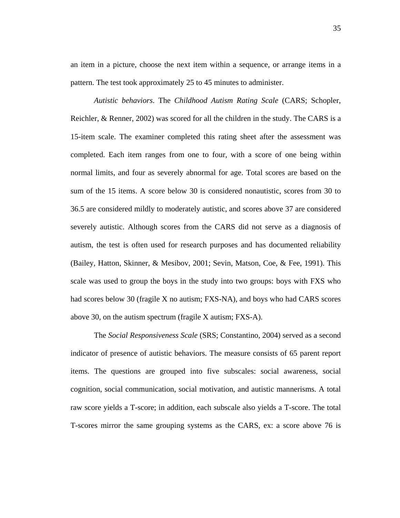an item in a picture, choose the next item within a sequence, or arrange items in a pattern. The test took approximately 25 to 45 minutes to administer.

*Autistic behaviors*. The *Childhood Autism Rating Scale* (CARS; Schopler, Reichler, & Renner, 2002) was scored for all the children in the study. The CARS is a 15-item scale. The examiner completed this rating sheet after the assessment was completed. Each item ranges from one to four, with a score of one being within normal limits, and four as severely abnormal for age. Total scores are based on the sum of the 15 items. A score below 30 is considered nonautistic, scores from 30 to 36.5 are considered mildly to moderately autistic, and scores above 37 are considered severely autistic. Although scores from the CARS did not serve as a diagnosis of autism, the test is often used for research purposes and has documented reliability (Bailey, Hatton, Skinner, & Mesibov, 2001; Sevin, Matson, Coe, & Fee, 1991). This scale was used to group the boys in the study into two groups: boys with FXS who had scores below 30 (fragile X no autism; FXS-NA), and boys who had CARS scores above 30, on the autism spectrum (fragile X autism; FXS-A).

The *Social Responsiveness Scale* (SRS; Constantino, 2004) served as a second indicator of presence of autistic behaviors. The measure consists of 65 parent report items. The questions are grouped into five subscales: social awareness, social cognition, social communication, social motivation, and autistic mannerisms. A total raw score yields a T-score; in addition, each subscale also yields a T-score. The total T-scores mirror the same grouping systems as the CARS, ex: a score above 76 is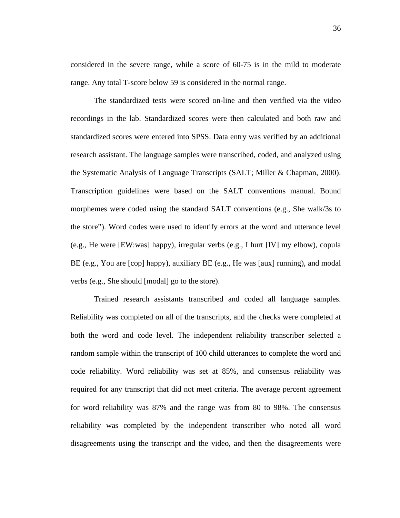considered in the severe range, while a score of 60-75 is in the mild to moderate range. Any total T-score below 59 is considered in the normal range.

The standardized tests were scored on-line and then verified via the video recordings in the lab. Standardized scores were then calculated and both raw and standardized scores were entered into SPSS. Data entry was verified by an additional research assistant. The language samples were transcribed, coded, and analyzed using the Systematic Analysis of Language Transcripts (SALT; Miller & Chapman, 2000). Transcription guidelines were based on the SALT conventions manual. Bound morphemes were coded using the standard SALT conventions (e.g., She walk/3s to the store"). Word codes were used to identify errors at the word and utterance level (e.g., He were [EW:was] happy), irregular verbs (e.g., I hurt [IV] my elbow), copula BE (e.g., You are [cop] happy), auxiliary BE (e.g., He was [aux] running), and modal verbs (e.g., She should [modal] go to the store).

Trained research assistants transcribed and coded all language samples. Reliability was completed on all of the transcripts, and the checks were completed at both the word and code level. The independent reliability transcriber selected a random sample within the transcript of 100 child utterances to complete the word and code reliability. Word reliability was set at 85%, and consensus reliability was required for any transcript that did not meet criteria. The average percent agreement for word reliability was 87% and the range was from 80 to 98%. The consensus reliability was completed by the independent transcriber who noted all word disagreements using the transcript and the video, and then the disagreements were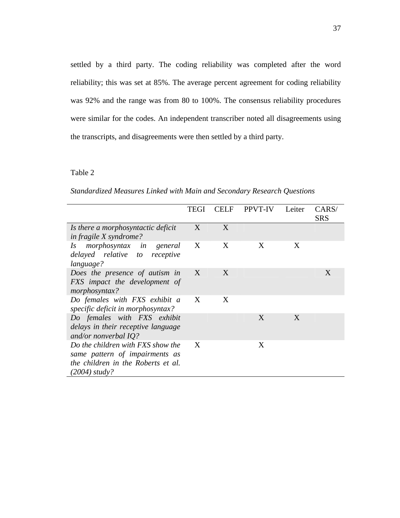settled by a third party. The coding reliability was completed after the word reliability; this was set at 85%. The average percent agreement for coding reliability was 92% and the range was from 80 to 100%. The consensus reliability procedures were similar for the codes. An independent transcriber noted all disagreements using the transcripts, and disagreements were then settled by a third party.

|                                                                                                                            | TEGI | <b>CELF</b> | <b>PPVT-IV</b> | Leiter | CARS/<br><b>SRS</b> |
|----------------------------------------------------------------------------------------------------------------------------|------|-------------|----------------|--------|---------------------|
| Is there a morphosyntactic deficit<br><i>in fragile X syndrome?</i>                                                        | X    | X           |                |        |                     |
| <i>morphosyntax in</i><br>Is<br>general<br>delayed relative to receptive<br>language?                                      | X    | X           | X              | X      |                     |
| Does the presence of autism in<br>FXS impact the development of<br>morphosyntax?                                           | X    | X           |                |        | X                   |
| Do females with FXS exhibit a<br>specific deficit in morphosyntax?                                                         | X    | X           |                |        |                     |
| Do females with FXS exhibit<br>delays in their receptive language<br>and/or nonverbal $IQ$ ?                               |      |             | X              | X      |                     |
| Do the children with FXS show the<br>same pattern of impairments as<br>the children in the Roberts et al.<br>(2004) study? | X    |             | X              |        |                     |

*Standardized Measures Linked with Main and Secondary Research Questions*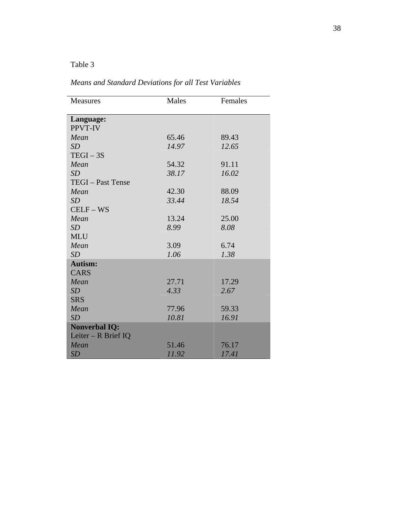| <b>Measures</b>      | Males | Females |
|----------------------|-------|---------|
| Language:            |       |         |
| PPVT-IV              |       |         |
| Mean                 | 65.46 | 89.43   |
| SD                   | 14.97 | 12.65   |
| $TEGI - 3S$          |       |         |
| Mean                 | 54.32 | 91.11   |
| SD                   | 38.17 | 16.02   |
| TEGI - Past Tense    |       |         |
| Mean                 | 42.30 | 88.09   |
| SD                   | 33.44 | 18.54   |
| $CELF - WS$          |       |         |
| Mean                 | 13.24 | 25.00   |
| SD                   | 8.99  | 8.08    |
| <b>MLU</b>           |       |         |
| Mean                 | 3.09  | 6.74    |
| SD                   | 1.06  | 1.38    |
| <b>Autism:</b>       |       |         |
| <b>CARS</b>          |       |         |
| Mean                 | 27.71 | 17.29   |
| SD                   | 4.33  | 2.67    |
| <b>SRS</b>           |       |         |
| Mean                 | 77.96 | 59.33   |
| SD                   | 10.81 | 16.91   |
| <b>Nonverbal IQ:</b> |       |         |
| Leiter - R Brief IQ  |       |         |
| Mean                 | 51.46 | 76.17   |
| SD                   | 11.92 | 17.41   |

*Means and Standard Deviations for all Test Variables*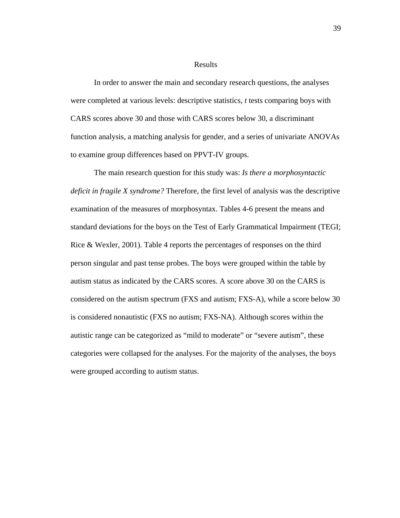#### Results

In order to answer the main and secondary research questions, the analyses were completed at various levels: descriptive statistics, *t* tests comparing boys with CARS scores above 30 and those with CARS scores below 30, a discriminant function analysis, a matching analysis for gender, and a series of univariate ANOVAs to examine group differences based on PPVT-IV groups.

The main research question for this study was: *Is there a morphosyntactic deficit in fragile X syndrome?* Therefore, the first level of analysis was the descriptive examination of the measures of morphosyntax. Tables 4-6 present the means and standard deviations for the boys on the Test of Early Grammatical Impairment (TEGI; Rice & Wexler, 2001). Table 4 reports the percentages of responses on the third person singular and past tense probes. The boys were grouped within the table by autism status as indicated by the CARS scores. A score above 30 on the CARS is considered on the autism spectrum (FXS and autism; FXS-A), while a score below 30 is considered nonautistic (FXS no autism; FXS-NA). Although scores within the autistic range can be categorized as "mild to moderate" or "severe autism", these categories were collapsed for the analyses. For the majority of the analyses, the boys were grouped according to autism status.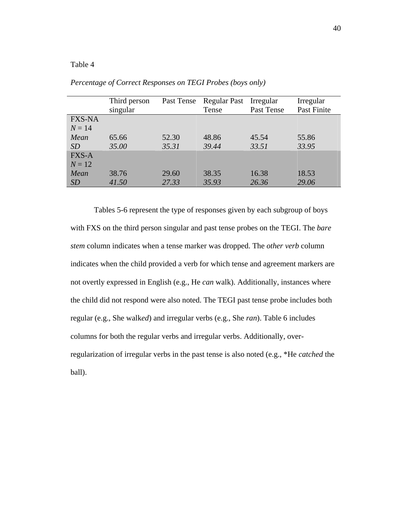|               | Third person<br>singular | Past Tense | <b>Regular Past</b><br>Tense | Irregular<br>Past Tense | Irregular<br>Past Finite |
|---------------|--------------------------|------------|------------------------------|-------------------------|--------------------------|
| <b>FXS-NA</b> |                          |            |                              |                         |                          |
| $N = 14$      |                          |            |                              |                         |                          |
| Mean          | 65.66                    | 52.30      | 48.86                        | 45.54                   | 55.86                    |
| <i>SD</i>     | 35.00                    | 35.31      | 39.44                        | 33.51                   | 33.95                    |
| <b>FXS-A</b>  |                          |            |                              |                         |                          |
| $N=12$        |                          |            |                              |                         |                          |
| Mean          | 38.76                    | 29.60      | 38.35                        | 16.38                   | 18.53                    |
| SD            | 41.50                    | 27.33      | 35.93                        | 26.36                   | 29.06                    |

*Percentage of Correct Responses on TEGI Probes (boys only)* 

Tables 5-6 represent the type of responses given by each subgroup of boys with FXS on the third person singular and past tense probes on the TEGI. The *bare stem* column indicates when a tense marker was dropped. The *other verb* column indicates when the child provided a verb for which tense and agreement markers are not overtly expressed in English (e.g., He *can* walk). Additionally, instances where the child did not respond were also noted. The TEGI past tense probe includes both regular (e.g., She walk*ed*) and irregular verbs (e.g., She *ran*). Table 6 includes columns for both the regular verbs and irregular verbs. Additionally, overregularization of irregular verbs in the past tense is also noted (e.g., \*He *catched* the ball).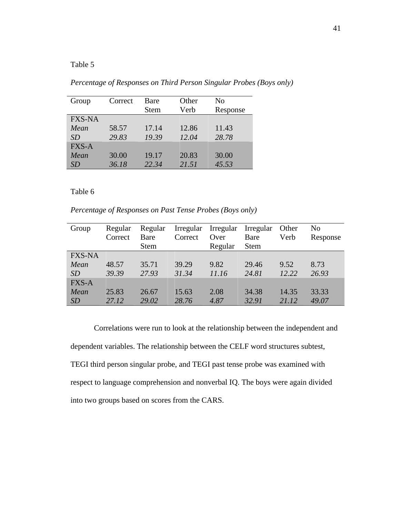*Percentage of Responses on Third Person Singular Probes (Boys only)* 

| Group         | Correct | Bare<br><b>Stem</b> | Other<br>Verb | No<br>Response |
|---------------|---------|---------------------|---------------|----------------|
| <b>FXS-NA</b> |         |                     |               |                |
| Mean          | 58.57   | 17.14               | 12.86         | 11.43          |
| <i>SD</i>     | 29.83   | 19.39               | 12.04         | 28.78          |
| <b>FXS-A</b>  |         |                     |               |                |
| Mean          | 30.00   | 19.17               | 20.83         | 30.00          |
| SD            | 36.18   | 22.34               | 21.51         | 45.53          |

Table 6

*Percentage of Responses on Past Tense Probes (Boys only)* 

| Group         | Regular | Regular     | Irregular | Irregular | Irregular   | Other | No       |
|---------------|---------|-------------|-----------|-----------|-------------|-------|----------|
|               | Correct | Bare        | Correct   | Over      | Bare        | Verb  | Response |
|               |         | <b>Stem</b> |           | Regular   | <b>Stem</b> |       |          |
| <b>FXS-NA</b> |         |             |           |           |             |       |          |
| Mean          | 48.57   | 35.71       | 39.29     | 9.82      | 29.46       | 9.52  | 8.73     |
| <i>SD</i>     | 39.39   | 27.93       | 31.34     | 11.16     | 24.81       | 12.22 | 26.93    |
| <b>FXS-A</b>  |         |             |           |           |             |       |          |
| Mean          | 25.83   | 26.67       | 15.63     | 2.08      | 34.38       | 14.35 | 33.33    |
| SD            | 27.12   | 29.02       | 28.76     | 4.87      | 32.91       | 21.12 | 49.07    |

 Correlations were run to look at the relationship between the independent and dependent variables. The relationship between the CELF word structures subtest, TEGI third person singular probe, and TEGI past tense probe was examined with respect to language comprehension and nonverbal IQ. The boys were again divided into two groups based on scores from the CARS.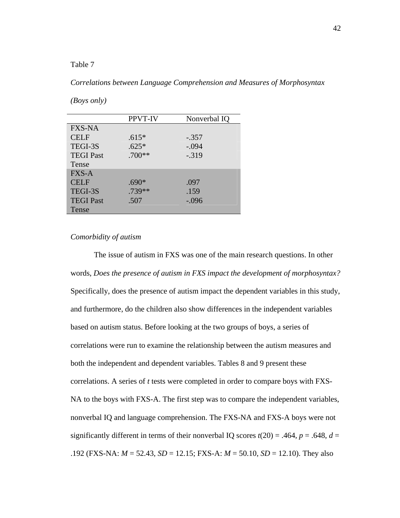#### *Correlations between Language Comprehension and Measures of Morphosyntax*

*(Boys only)* 

|                  | PPVT-IV | Nonverbal IQ |
|------------------|---------|--------------|
| <b>FXS-NA</b>    |         |              |
| <b>CELF</b>      | $.615*$ | $-.357$      |
| TEGI-3S          | $.625*$ | $-.094$      |
| <b>TEGI Past</b> | .700**  | $-0.319$     |
| Tense            |         |              |
| <b>FXS-A</b>     |         |              |
| <b>CELF</b>      | .690*   | .097         |
| TEGI-3S          | .739**  | .159         |
| <b>TEGI Past</b> | .507    | $-.096$      |
| Tense            |         |              |

### *Comorbidity of autism*

 The issue of autism in FXS was one of the main research questions. In other words, *Does the presence of autism in FXS impact the development of morphosyntax?* Specifically, does the presence of autism impact the dependent variables in this study, and furthermore, do the children also show differences in the independent variables based on autism status. Before looking at the two groups of boys, a series of correlations were run to examine the relationship between the autism measures and both the independent and dependent variables. Tables 8 and 9 present these correlations. A series of *t* tests were completed in order to compare boys with FXS-NA to the boys with FXS-A. The first step was to compare the independent variables, nonverbal IQ and language comprehension. The FXS-NA and FXS-A boys were not significantly different in terms of their nonverbal IQ scores  $t(20) = .464$ ,  $p = .648$ ,  $d =$ .192 (FXS-NA: *M* = 52.43, *SD* = 12.15; FXS-A: *M* = 50.10, *SD* = 12.10). They also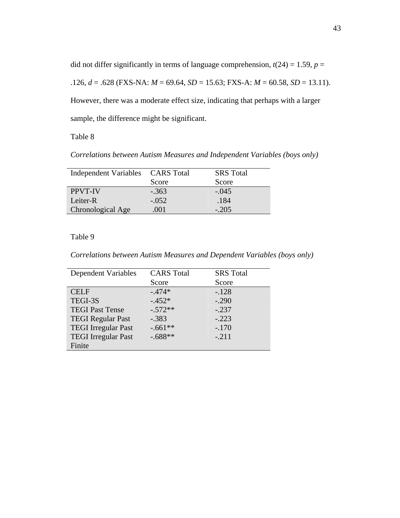did not differ significantly in terms of language comprehension,  $t(24) = 1.59$ ,  $p =$ .126, *d* = .628 (FXS-NA: *M* = 69.64, *SD* = 15.63; FXS-A: *M* = 60.58, *SD* = 13.11). However, there was a moderate effect size, indicating that perhaps with a larger

sample, the difference might be significant.

Table 8

*Correlations between Autism Measures and Independent Variables (boys only)* 

| Independent Variables CARS Total |         | <b>SRS</b> Total |
|----------------------------------|---------|------------------|
|                                  | Score   | Score            |
| <b>PPVT-IV</b>                   | $-.363$ | $-.045$          |
| Leiter-R                         | $-.052$ | .184             |
| Chronological Age                | .001    | $-.205$          |

*Correlations between Autism Measures and Dependent Variables (boys only)* 

| Dependent Variables        | <b>CARS</b> Total | <b>SRS</b> Total |
|----------------------------|-------------------|------------------|
|                            | Score             | Score            |
| <b>CELF</b>                | $-.474*$          | $-.128$          |
| TEGI-3S                    | $-.452*$          | $-.290$          |
| <b>TEGI Past Tense</b>     | $-.572**$         | $-.237$          |
| <b>TEGI Regular Past</b>   | $-.383$           | $-.223$          |
| <b>TEGI</b> Irregular Past | $-.661**$         | $-.170$          |
| <b>TEGI</b> Irregular Past | $-.688**$         | $-.211$          |
| Finite                     |                   |                  |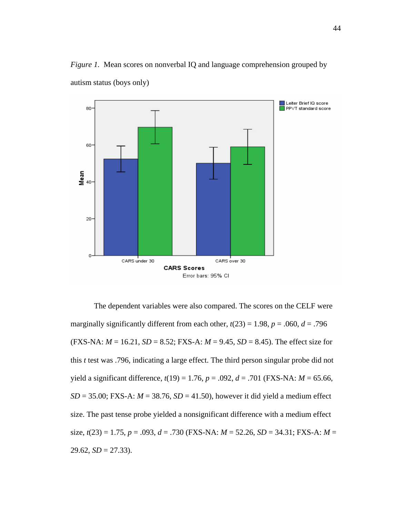*Figure 1.* Mean scores on nonverbal IQ and language comprehension grouped by autism status (boys only)



The dependent variables were also compared. The scores on the CELF were marginally significantly different from each other,  $t(23) = 1.98$ ,  $p = .060$ ,  $d = .796$  $(FXS-NA: M = 16.21, SD = 8.52; FXS-A: M = 9.45, SD = 8.45)$ . The effect size for this *t* test was .796, indicating a large effect. The third person singular probe did not yield a significant difference,  $t(19) = 1.76$ ,  $p = .092$ ,  $d = .701$  (FXS-NA:  $M = 65.66$ ,  $SD = 35.00$ ; FXS-A:  $M = 38.76$ ,  $SD = 41.50$ ), however it did yield a medium effect size. The past tense probe yielded a nonsignificant difference with a medium effect size, *t*(23) = 1.75, *p* = .093, *d* = .730 (FXS-NA: *M* = 52.26, *SD* = 34.31; FXS-A: *M* =  $29.62, SD = 27.33$ ).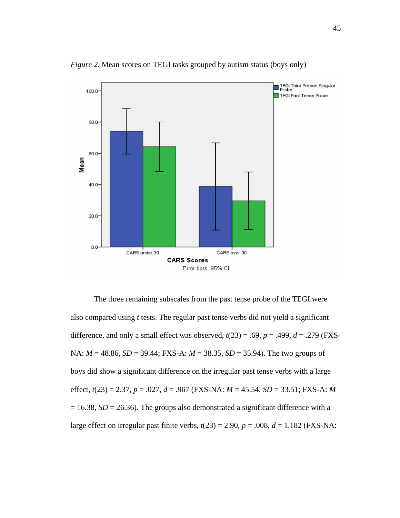

*Figure 2.* Mean scores on TEGI tasks grouped by autism status (boys only)

The three remaining subscales from the past tense probe of the TEGI were also compared using *t* tests. The regular past tense verbs did not yield a significant difference, and only a small effect was observed,  $t(23) = .69$ ,  $p = .499$ ,  $d = .279$  (FXS-NA: *M* = 48.86, *SD* = 39.44; FXS-A: *M* = 38.35, *SD* = 35.94). The two groups of boys did show a significant difference on the irregular past tense verbs with a large effect, *t*(23) = 2.37, *p* = .027, *d* = .967 (FXS-NA: *M* = 45.54, *SD* = 33.51; FXS-A: *M*  $= 16.38$ , *SD* = 26.36). The groups also demonstrated a significant difference with a large effect on irregular past finite verbs,  $t(23) = 2.90$ ,  $p = .008$ ,  $d = 1.182$  (FXS-NA: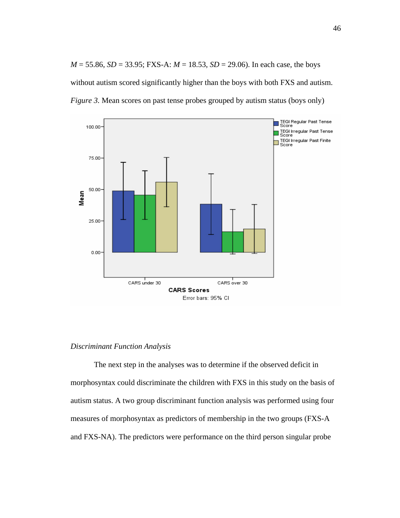*M* = 55.86, *SD* = 33.95; FXS-A: *M* = 18.53, *SD* = 29.06). In each case, the boys without autism scored significantly higher than the boys with both FXS and autism. *Figure 3.* Mean scores on past tense probes grouped by autism status (boys only)



## *Discriminant Function Analysis*

 The next step in the analyses was to determine if the observed deficit in morphosyntax could discriminate the children with FXS in this study on the basis of autism status. A two group discriminant function analysis was performed using four measures of morphosyntax as predictors of membership in the two groups (FXS-A and FXS-NA). The predictors were performance on the third person singular probe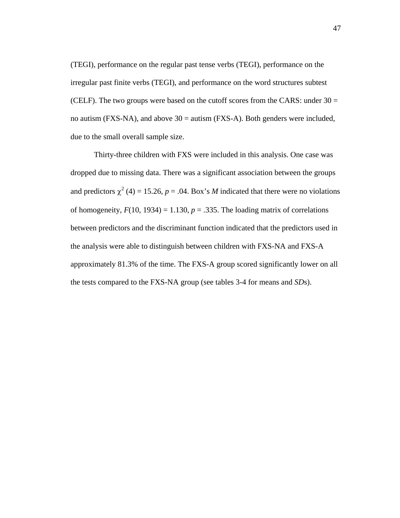(TEGI), performance on the regular past tense verbs (TEGI), performance on the irregular past finite verbs (TEGI), and performance on the word structures subtest (CELF). The two groups were based on the cutoff scores from the CARS: under  $30 =$ no autism (FXS-NA), and above  $30 = \text{autism}$  (FXS-A). Both genders were included, due to the small overall sample size.

 Thirty-three children with FXS were included in this analysis. One case was dropped due to missing data. There was a significant association between the groups and predictors  $\chi^2$  (4) = 15.26, *p* = .04. Box's *M* indicated that there were no violations of homogeneity,  $F(10, 1934) = 1.130$ ,  $p = .335$ . The loading matrix of correlations between predictors and the discriminant function indicated that the predictors used in the analysis were able to distinguish between children with FXS-NA and FXS-A approximately 81.3% of the time. The FXS-A group scored significantly lower on all the tests compared to the FXS-NA group (see tables 3-4 for means and *SD*s).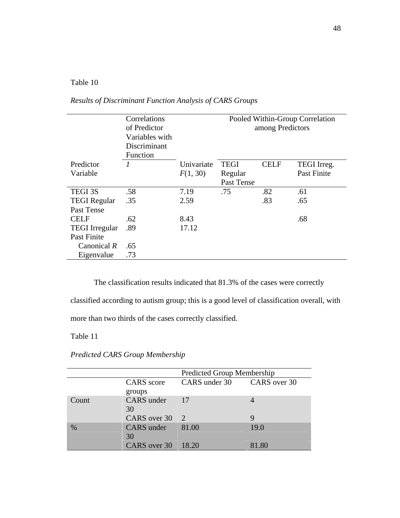|                       | Correlations<br>of Predictor<br>Variables with |            |             | among Predictors | Pooled Within-Group Correlation |
|-----------------------|------------------------------------------------|------------|-------------|------------------|---------------------------------|
|                       | Discriminant                                   |            |             |                  |                                 |
|                       | Function                                       |            |             |                  |                                 |
| Predictor             | 1                                              | Univariate | <b>TEGI</b> | <b>CELF</b>      | TEGI Irreg.                     |
| Variable              |                                                | F(1, 30)   | Regular     |                  | <b>Past Finite</b>              |
|                       |                                                |            | Past Tense  |                  |                                 |
| <b>TEGI 3S</b>        | .58                                            | 7.19       | .75         | .82              | .61                             |
| <b>TEGI</b> Regular   | .35                                            | 2.59       |             | .83              | .65                             |
| Past Tense            |                                                |            |             |                  |                                 |
| <b>CELF</b>           | .62                                            | 8.43       |             |                  | .68                             |
| <b>TEGI</b> Irregular | .89                                            | 17.12      |             |                  |                                 |
| Past Finite           |                                                |            |             |                  |                                 |
| Canonical $R$         | .65                                            |            |             |                  |                                 |
| Eigenvalue            | .73                                            |            |             |                  |                                 |
|                       |                                                |            |             |                  |                                 |

*Results of Discriminant Function Analysis of CARS Groups* 

The classification results indicated that 81.3% of the cases were correctly

classified according to autism group; this is a good level of classification overall, with

more than two thirds of the cases correctly classified.

*Predicted CARS Group Membership* 

|               |                             | <b>Predicted Group Membership</b> |       |
|---------------|-----------------------------|-----------------------------------|-------|
|               | <b>CARS</b> score<br>groups | CARS under 30 CARS over 30        |       |
| Count         | CARS under<br>30            | $\vert$ 17                        |       |
|               | CARS over 30 2              |                                   | Q     |
| $\frac{0}{0}$ | <b>CARS</b> under<br>30     | 81.00                             | 19.0  |
|               | CARS over 30 18.20          |                                   | 81.80 |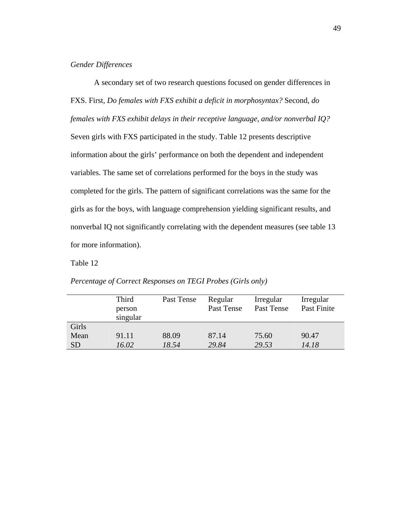### *Gender Differences*

A secondary set of two research questions focused on gender differences in FXS. First, *Do females with FXS exhibit a deficit in morphosyntax?* Second, *do females with FXS exhibit delays in their receptive language, and/or nonverbal IQ?* Seven girls with FXS participated in the study. Table 12 presents descriptive information about the girls' performance on both the dependent and independent variables. The same set of correlations performed for the boys in the study was completed for the girls. The pattern of significant correlations was the same for the girls as for the boys, with language comprehension yielding significant results, and nonverbal IQ not significantly correlating with the dependent measures (see table 13 for more information).

|           | Third<br>person<br>singular | Past Tense | Regular<br>Past Tense | Irregular<br>Past Tense | Irregular<br>Past Finite |
|-----------|-----------------------------|------------|-----------------------|-------------------------|--------------------------|
| Girls     |                             |            |                       |                         |                          |
| Mean      | 91.11                       | 88.09      | 87.14                 | 75.60                   | 90.47                    |
| <b>SD</b> | 16.02                       | 18.54      | 29.84                 | 29.53                   | 14.18                    |

*Percentage of Correct Responses on TEGI Probes (Girls only)*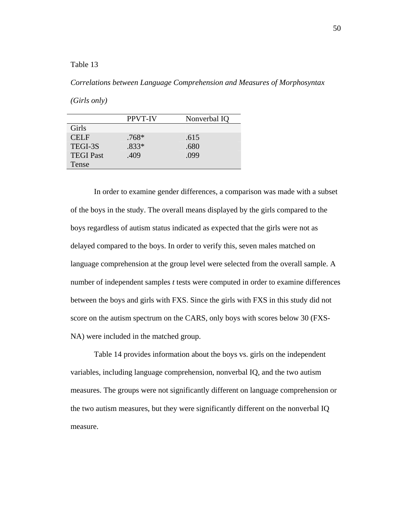#### *Correlations between Language Comprehension and Measures of Morphosyntax*

*(Girls only)* 

|                  | <b>PPVT-IV</b> | Nonverbal IQ |
|------------------|----------------|--------------|
| Girls            |                |              |
| <b>CELF</b>      | $.768*$        | .615         |
| TEGI-3S          | $.833*$        | .680         |
| <b>TEGI Past</b> | .409           | .099         |
| Tense            |                |              |

In order to examine gender differences, a comparison was made with a subset of the boys in the study. The overall means displayed by the girls compared to the boys regardless of autism status indicated as expected that the girls were not as delayed compared to the boys. In order to verify this, seven males matched on language comprehension at the group level were selected from the overall sample. A number of independent samples *t* tests were computed in order to examine differences between the boys and girls with FXS. Since the girls with FXS in this study did not score on the autism spectrum on the CARS, only boys with scores below 30 (FXS-NA) were included in the matched group.

Table 14 provides information about the boys vs. girls on the independent variables, including language comprehension, nonverbal IQ, and the two autism measures. The groups were not significantly different on language comprehension or the two autism measures, but they were significantly different on the nonverbal IQ measure.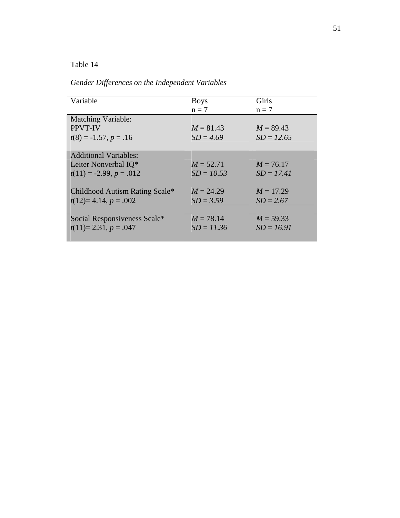*Gender Differences on the Independent Variables* 

| Variable                       | <b>Boys</b>  | Girls        |
|--------------------------------|--------------|--------------|
|                                | $n = 7$      | $n = 7$      |
| <b>Matching Variable:</b>      |              |              |
| <b>PPVT-IV</b>                 | $M = 81.43$  | $M = 89.43$  |
| $t(8) = -1.57, p = .16$        | $SD = 4.69$  | $SD = 12.65$ |
|                                |              |              |
| <b>Additional Variables:</b>   |              |              |
| Leiter Nonverbal IQ*           | $M = 52.71$  | $M = 76.17$  |
| $t(11) = -2.99, p = .012$      | $SD = 10.53$ | $SD = 17.41$ |
|                                |              |              |
| Childhood Autism Rating Scale* | $M = 24.29$  | $M = 17.29$  |
| $t(12)=4.14, p=.002$           | $SD = 3.59$  | $SD = 2.67$  |
|                                |              |              |
| Social Responsiveness Scale*   | $M = 78.14$  | $M = 59.33$  |
| $t(11)=2.31, p=.047$           | $SD = 11.36$ | $SD = 16.91$ |
|                                |              |              |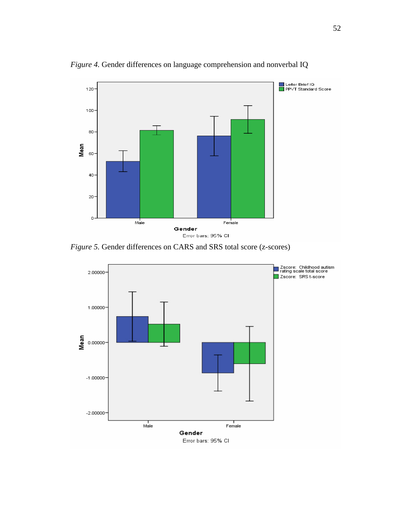

*Figure 4.* Gender differences on language comprehension and nonverbal IQ

*Figure 5.* Gender differences on CARS and SRS total score (z-scores)

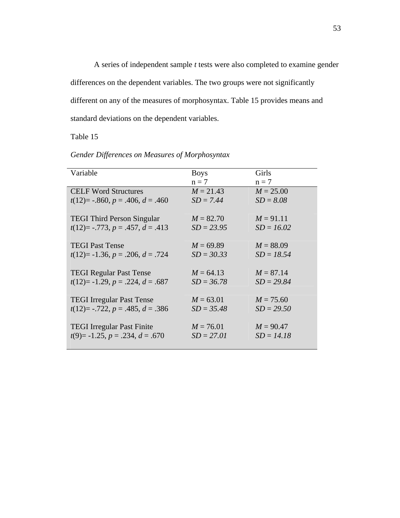A series of independent sample *t* tests were also completed to examine gender differences on the dependent variables. The two groups were not significantly different on any of the measures of morphosyntax. Table 15 provides means and standard deviations on the dependent variables.

| Variable                                 | <b>Boys</b><br>$n = 7$ | Girls<br>$n = 7$ |
|------------------------------------------|------------------------|------------------|
| <b>CELF Word Structures</b>              | $M = 21.43$            | $M = 25.00$      |
| $t(12) = -.860, p = .406, d = .460$      | $SD = 7.44$            | $SD = 8.08$      |
| <b>TEGI Third Person Singular</b>        | $M = 82.70$            | $M = 91.11$      |
| $t(12)$ = -.773, p = .457, d = .413      | $SD = 23.95$           | $SD = 16.02$     |
| <b>TEGI Past Tense</b>                   | $M = 69.89$            | $M = 88.09$      |
| $t(12)= -1.36, p = .206, d = .724$       | $SD = 30.33$           | $SD = 18.54$     |
| <b>TEGI Regular Past Tense</b>           | $M = 64.13$            | $M = 87.14$      |
| $t(12)= -1.29, p = .224, d = .687$       | $SD = 36.78$           | $SD = 29.84$     |
| <b>TEGI</b> Irregular Past Tense         | $M = 63.01$            | $M = 75.60$      |
| $t(12)$ = -.722, $p = .485$ , $d = .386$ | $SD = 35.48$           | $SD = 29.50$     |
| <b>TEGI</b> Irregular Past Finite        | $M = 76.01$            | $M = 90.47$      |
| $t(9) = -1.25, p = .234, d = .670$       | $SD = 27.01$           | $SD = 14.18$     |

*Gender Differences on Measures of Morphosyntax*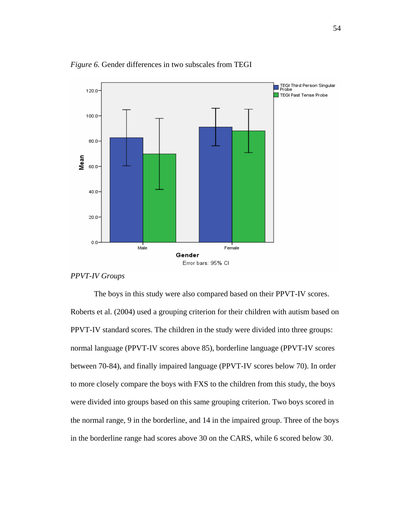

*Figure 6.* Gender differences in two subscales from TEGI

```
PPVT-IV Groups
```
The boys in this study were also compared based on their PPVT-IV scores. Roberts et al. (2004) used a grouping criterion for their children with autism based on PPVT-IV standard scores. The children in the study were divided into three groups: normal language (PPVT-IV scores above 85), borderline language (PPVT-IV scores between 70-84), and finally impaired language (PPVT-IV scores below 70). In order to more closely compare the boys with FXS to the children from this study, the boys were divided into groups based on this same grouping criterion. Two boys scored in the normal range, 9 in the borderline, and 14 in the impaired group. Three of the boys in the borderline range had scores above 30 on the CARS, while 6 scored below 30.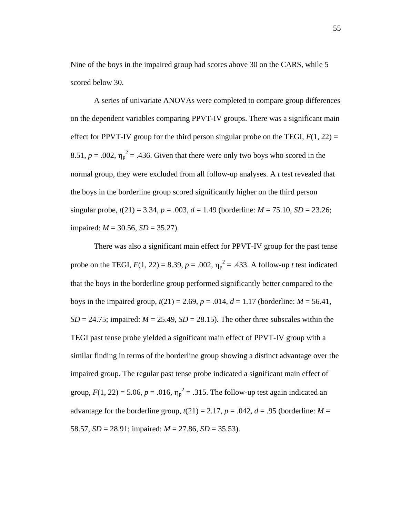Nine of the boys in the impaired group had scores above 30 on the CARS, while 5 scored below 30.

 A series of univariate ANOVAs were completed to compare group differences on the dependent variables comparing PPVT-IV groups. There was a significant main effect for PPVT-IV group for the third person singular probe on the TEGI,  $F(1, 22) =$ 8.51,  $p = .002$ ,  $\eta_p^2 = .436$ . Given that there were only two boys who scored in the normal group, they were excluded from all follow-up analyses. A *t* test revealed that the boys in the borderline group scored significantly higher on the third person singular probe,  $t(21) = 3.34$ ,  $p = .003$ ,  $d = 1.49$  (borderline:  $M = 75.10$ ,  $SD = 23.26$ ; impaired: *M* = 30.56, *SD* = 35.27).

 There was also a significant main effect for PPVT-IV group for the past tense probe on the TEGI,  $F(1, 22) = 8.39$ ,  $p = .002$ ,  $\eta_p^2 = .433$ . A follow-up *t* test indicated that the boys in the borderline group performed significantly better compared to the boys in the impaired group,  $t(21) = 2.69$ ,  $p = .014$ ,  $d = 1.17$  (borderline:  $M = 56.41$ ,  $SD = 24.75$ ; impaired:  $M = 25.49$ ,  $SD = 28.15$ ). The other three subscales within the TEGI past tense probe yielded a significant main effect of PPVT-IV group with a similar finding in terms of the borderline group showing a distinct advantage over the impaired group. The regular past tense probe indicated a significant main effect of group,  $F(1, 22) = 5.06$ ,  $p = .016$ ,  $\eta_p^2 = .315$ . The follow-up test again indicated an advantage for the borderline group,  $t(21) = 2.17$ ,  $p = .042$ ,  $d = .95$  (borderline:  $M =$ 58.57,  $SD = 28.91$ ; impaired:  $M = 27.86$ ,  $SD = 35.53$ ).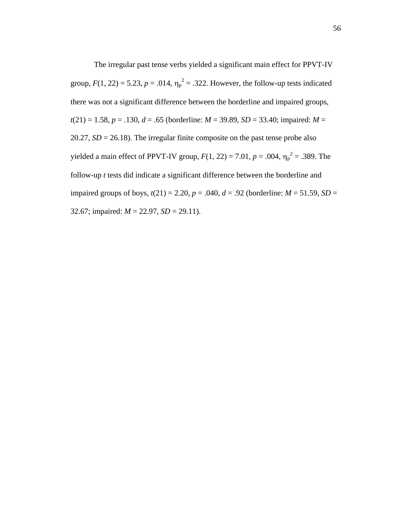The irregular past tense verbs yielded a significant main effect for PPVT-IV group,  $F(1, 22) = 5.23$ ,  $p = .014$ ,  $\eta_p^2 = .322$ . However, the follow-up tests indicated there was not a significant difference between the borderline and impaired groups,  $t(21) = 1.58$ ,  $p = .130$ ,  $d = .65$  (borderline:  $M = 39.89$ ,  $SD = 33.40$ ; impaired:  $M =$ 20.27,  $SD = 26.18$ ). The irregular finite composite on the past tense probe also yielded a main effect of PPVT-IV group,  $F(1, 22) = 7.01$ ,  $p = .004$ ,  $\eta_p^2 = .389$ . The follow-up *t* tests did indicate a significant difference between the borderline and impaired groups of boys,  $t(21) = 2.20$ ,  $p = .040$ ,  $d = .92$  (borderline:  $M = 51.59$ ,  $SD =$ 32.67; impaired: *M* = 22.97, *SD* = 29.11).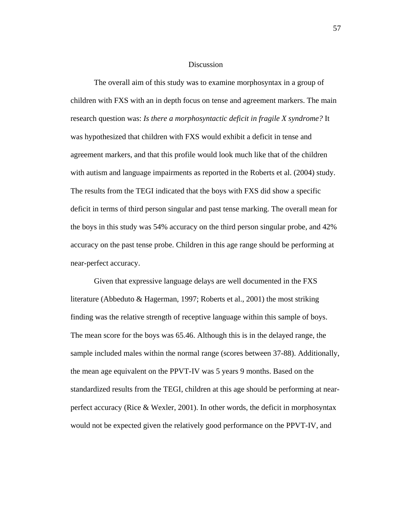#### Discussion

The overall aim of this study was to examine morphosyntax in a group of children with FXS with an in depth focus on tense and agreement markers. The main research question was: *Is there a morphosyntactic deficit in fragile X syndrome?* It was hypothesized that children with FXS would exhibit a deficit in tense and agreement markers, and that this profile would look much like that of the children with autism and language impairments as reported in the Roberts et al. (2004) study. The results from the TEGI indicated that the boys with FXS did show a specific deficit in terms of third person singular and past tense marking. The overall mean for the boys in this study was 54% accuracy on the third person singular probe, and 42% accuracy on the past tense probe. Children in this age range should be performing at near-perfect accuracy.

 Given that expressive language delays are well documented in the FXS literature (Abbeduto & Hagerman, 1997; Roberts et al., 2001) the most striking finding was the relative strength of receptive language within this sample of boys. The mean score for the boys was 65.46. Although this is in the delayed range, the sample included males within the normal range (scores between 37-88). Additionally, the mean age equivalent on the PPVT-IV was 5 years 9 months. Based on the standardized results from the TEGI, children at this age should be performing at nearperfect accuracy (Rice & Wexler, 2001). In other words, the deficit in morphosyntax would not be expected given the relatively good performance on the PPVT-IV, and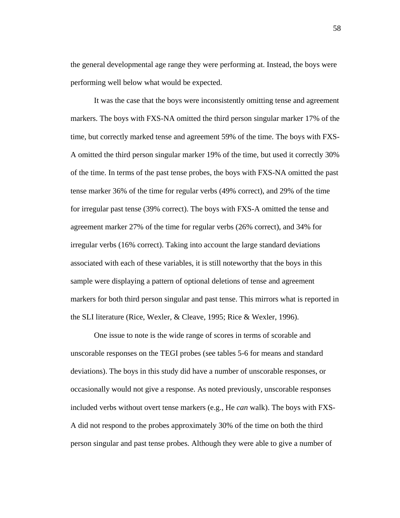the general developmental age range they were performing at. Instead, the boys were performing well below what would be expected.

It was the case that the boys were inconsistently omitting tense and agreement markers. The boys with FXS-NA omitted the third person singular marker 17% of the time, but correctly marked tense and agreement 59% of the time. The boys with FXS-A omitted the third person singular marker 19% of the time, but used it correctly 30% of the time. In terms of the past tense probes, the boys with FXS-NA omitted the past tense marker 36% of the time for regular verbs (49% correct), and 29% of the time for irregular past tense (39% correct). The boys with FXS-A omitted the tense and agreement marker 27% of the time for regular verbs (26% correct), and 34% for irregular verbs (16% correct). Taking into account the large standard deviations associated with each of these variables, it is still noteworthy that the boys in this sample were displaying a pattern of optional deletions of tense and agreement markers for both third person singular and past tense. This mirrors what is reported in the SLI literature (Rice, Wexler, & Cleave, 1995; Rice & Wexler, 1996).

One issue to note is the wide range of scores in terms of scorable and unscorable responses on the TEGI probes (see tables 5-6 for means and standard deviations). The boys in this study did have a number of unscorable responses, or occasionally would not give a response. As noted previously, unscorable responses included verbs without overt tense markers (e.g., He *can* walk). The boys with FXS-A did not respond to the probes approximately 30% of the time on both the third person singular and past tense probes. Although they were able to give a number of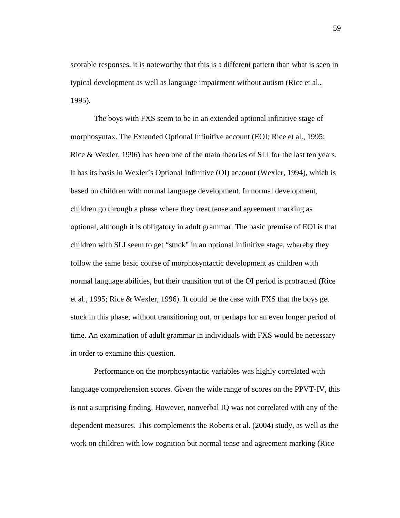scorable responses, it is noteworthy that this is a different pattern than what is seen in typical development as well as language impairment without autism (Rice et al., 1995).

The boys with FXS seem to be in an extended optional infinitive stage of morphosyntax. The Extended Optional Infinitive account (EOI; Rice et al., 1995; Rice & Wexler, 1996) has been one of the main theories of SLI for the last ten years. It has its basis in Wexler's Optional Infinitive (OI) account (Wexler, 1994), which is based on children with normal language development. In normal development, children go through a phase where they treat tense and agreement marking as optional, although it is obligatory in adult grammar. The basic premise of EOI is that children with SLI seem to get "stuck" in an optional infinitive stage, whereby they follow the same basic course of morphosyntactic development as children with normal language abilities, but their transition out of the OI period is protracted (Rice et al., 1995; Rice & Wexler, 1996). It could be the case with FXS that the boys get stuck in this phase, without transitioning out, or perhaps for an even longer period of time. An examination of adult grammar in individuals with FXS would be necessary in order to examine this question.

 Performance on the morphosyntactic variables was highly correlated with language comprehension scores. Given the wide range of scores on the PPVT-IV, this is not a surprising finding. However, nonverbal IQ was not correlated with any of the dependent measures. This complements the Roberts et al. (2004) study, as well as the work on children with low cognition but normal tense and agreement marking (Rice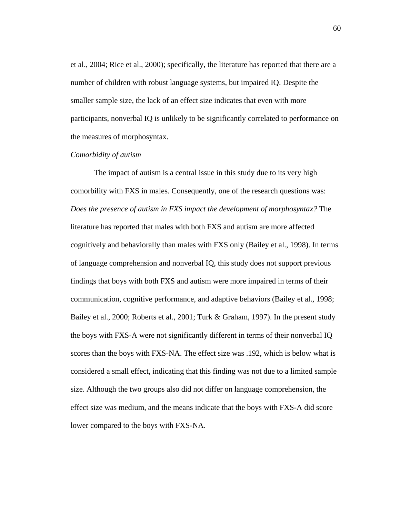et al., 2004; Rice et al., 2000); specifically, the literature has reported that there are a number of children with robust language systems, but impaired IQ. Despite the smaller sample size, the lack of an effect size indicates that even with more participants, nonverbal IQ is unlikely to be significantly correlated to performance on the measures of morphosyntax.

#### *Comorbidity of autism*

 The impact of autism is a central issue in this study due to its very high comorbility with FXS in males. Consequently, one of the research questions was: *Does the presence of autism in FXS impact the development of morphosyntax?* The literature has reported that males with both FXS and autism are more affected cognitively and behaviorally than males with FXS only (Bailey et al., 1998). In terms of language comprehension and nonverbal IQ, this study does not support previous findings that boys with both FXS and autism were more impaired in terms of their communication, cognitive performance, and adaptive behaviors (Bailey et al., 1998; Bailey et al., 2000; Roberts et al., 2001; Turk & Graham, 1997). In the present study the boys with FXS-A were not significantly different in terms of their nonverbal IQ scores than the boys with FXS-NA. The effect size was .192, which is below what is considered a small effect, indicating that this finding was not due to a limited sample size. Although the two groups also did not differ on language comprehension, the effect size was medium, and the means indicate that the boys with FXS-A did score lower compared to the boys with FXS-NA.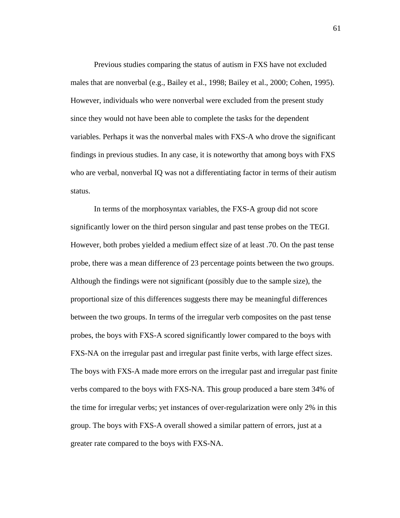Previous studies comparing the status of autism in FXS have not excluded males that are nonverbal (e.g., Bailey et al., 1998; Bailey et al., 2000; Cohen, 1995). However, individuals who were nonverbal were excluded from the present study since they would not have been able to complete the tasks for the dependent variables. Perhaps it was the nonverbal males with FXS-A who drove the significant findings in previous studies. In any case, it is noteworthy that among boys with FXS who are verbal, nonverbal IQ was not a differentiating factor in terms of their autism status.

 In terms of the morphosyntax variables, the FXS-A group did not score significantly lower on the third person singular and past tense probes on the TEGI. However, both probes yielded a medium effect size of at least .70. On the past tense probe, there was a mean difference of 23 percentage points between the two groups. Although the findings were not significant (possibly due to the sample size), the proportional size of this differences suggests there may be meaningful differences between the two groups. In terms of the irregular verb composites on the past tense probes, the boys with FXS-A scored significantly lower compared to the boys with FXS-NA on the irregular past and irregular past finite verbs, with large effect sizes. The boys with FXS-A made more errors on the irregular past and irregular past finite verbs compared to the boys with FXS-NA. This group produced a bare stem 34% of the time for irregular verbs; yet instances of over-regularization were only 2% in this group. The boys with FXS-A overall showed a similar pattern of errors, just at a greater rate compared to the boys with FXS-NA.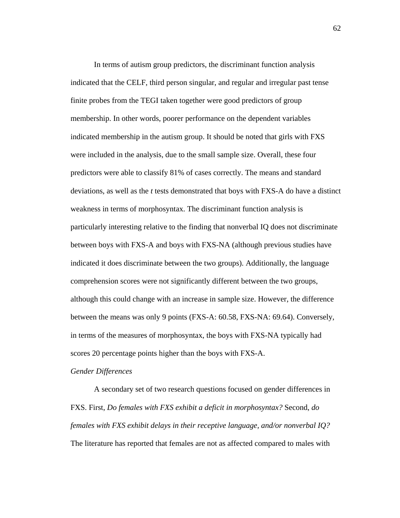In terms of autism group predictors, the discriminant function analysis indicated that the CELF, third person singular, and regular and irregular past tense finite probes from the TEGI taken together were good predictors of group membership. In other words, poorer performance on the dependent variables indicated membership in the autism group. It should be noted that girls with FXS were included in the analysis, due to the small sample size. Overall, these four predictors were able to classify 81% of cases correctly. The means and standard deviations, as well as the *t* tests demonstrated that boys with FXS-A do have a distinct weakness in terms of morphosyntax. The discriminant function analysis is particularly interesting relative to the finding that nonverbal IQ does not discriminate between boys with FXS-A and boys with FXS-NA (although previous studies have indicated it does discriminate between the two groups). Additionally, the language comprehension scores were not significantly different between the two groups, although this could change with an increase in sample size. However, the difference between the means was only 9 points (FXS-A: 60.58, FXS-NA: 69.64). Conversely, in terms of the measures of morphosyntax, the boys with FXS-NA typically had scores 20 percentage points higher than the boys with FXS-A.

#### *Gender Differences*

 A secondary set of two research questions focused on gender differences in FXS. First, *Do females with FXS exhibit a deficit in morphosyntax?* Second, *do females with FXS exhibit delays in their receptive language, and/or nonverbal IQ?* The literature has reported that females are not as affected compared to males with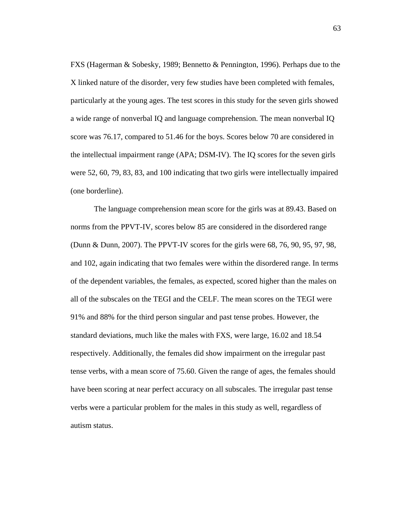FXS (Hagerman & Sobesky, 1989; Bennetto & Pennington, 1996). Perhaps due to the X linked nature of the disorder, very few studies have been completed with females, particularly at the young ages. The test scores in this study for the seven girls showed a wide range of nonverbal IQ and language comprehension. The mean nonverbal IQ score was 76.17, compared to 51.46 for the boys. Scores below 70 are considered in the intellectual impairment range (APA; DSM-IV). The IQ scores for the seven girls were 52, 60, 79, 83, 83, and 100 indicating that two girls were intellectually impaired (one borderline).

 The language comprehension mean score for the girls was at 89.43. Based on norms from the PPVT-IV, scores below 85 are considered in the disordered range (Dunn & Dunn, 2007). The PPVT-IV scores for the girls were 68, 76, 90, 95, 97, 98, and 102, again indicating that two females were within the disordered range. In terms of the dependent variables, the females, as expected, scored higher than the males on all of the subscales on the TEGI and the CELF. The mean scores on the TEGI were 91% and 88% for the third person singular and past tense probes. However, the standard deviations, much like the males with FXS, were large, 16.02 and 18.54 respectively. Additionally, the females did show impairment on the irregular past tense verbs, with a mean score of 75.60. Given the range of ages, the females should have been scoring at near perfect accuracy on all subscales. The irregular past tense verbs were a particular problem for the males in this study as well, regardless of autism status.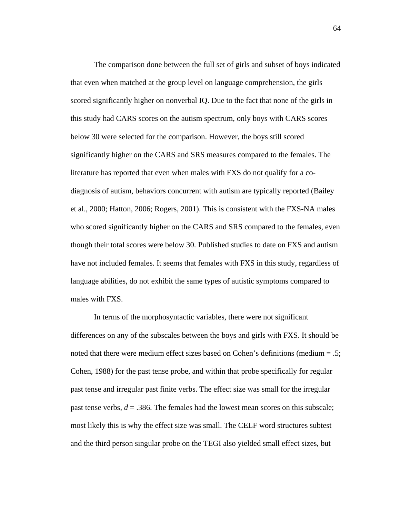The comparison done between the full set of girls and subset of boys indicated that even when matched at the group level on language comprehension, the girls scored significantly higher on nonverbal IQ. Due to the fact that none of the girls in this study had CARS scores on the autism spectrum, only boys with CARS scores below 30 were selected for the comparison. However, the boys still scored significantly higher on the CARS and SRS measures compared to the females. The literature has reported that even when males with FXS do not qualify for a codiagnosis of autism, behaviors concurrent with autism are typically reported (Bailey et al., 2000; Hatton, 2006; Rogers, 2001). This is consistent with the FXS-NA males who scored significantly higher on the CARS and SRS compared to the females, even though their total scores were below 30. Published studies to date on FXS and autism have not included females. It seems that females with FXS in this study, regardless of language abilities, do not exhibit the same types of autistic symptoms compared to males with FXS.

 In terms of the morphosyntactic variables, there were not significant differences on any of the subscales between the boys and girls with FXS. It should be noted that there were medium effect sizes based on Cohen's definitions (medium = .5; Cohen, 1988) for the past tense probe, and within that probe specifically for regular past tense and irregular past finite verbs. The effect size was small for the irregular past tense verbs,  $d = 0.386$ . The females had the lowest mean scores on this subscale; most likely this is why the effect size was small. The CELF word structures subtest and the third person singular probe on the TEGI also yielded small effect sizes, but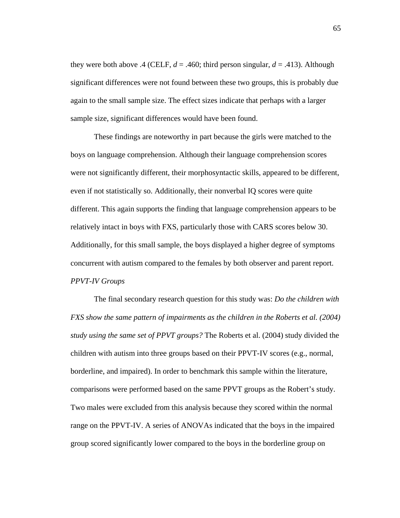they were both above .4 (CELF,  $d = .460$ ; third person singular,  $d = .413$ ). Although significant differences were not found between these two groups, this is probably due again to the small sample size. The effect sizes indicate that perhaps with a larger sample size, significant differences would have been found.

 These findings are noteworthy in part because the girls were matched to the boys on language comprehension. Although their language comprehension scores were not significantly different, their morphosyntactic skills, appeared to be different, even if not statistically so. Additionally, their nonverbal IQ scores were quite different. This again supports the finding that language comprehension appears to be relatively intact in boys with FXS, particularly those with CARS scores below 30. Additionally, for this small sample, the boys displayed a higher degree of symptoms concurrent with autism compared to the females by both observer and parent report. *PPVT-IV Groups* 

 The final secondary research question for this study was: *Do the children with FXS show the same pattern of impairments as the children in the Roberts et al.* (2004) *study using the same set of PPVT groups?* The Roberts et al. (2004) study divided the children with autism into three groups based on their PPVT-IV scores (e.g., normal, borderline, and impaired). In order to benchmark this sample within the literature, comparisons were performed based on the same PPVT groups as the Robert's study. Two males were excluded from this analysis because they scored within the normal range on the PPVT-IV. A series of ANOVAs indicated that the boys in the impaired group scored significantly lower compared to the boys in the borderline group on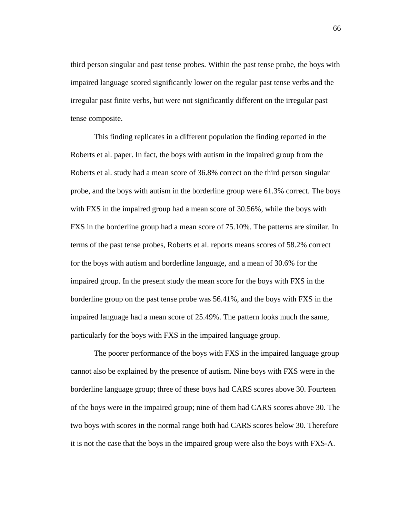third person singular and past tense probes. Within the past tense probe, the boys with impaired language scored significantly lower on the regular past tense verbs and the irregular past finite verbs, but were not significantly different on the irregular past tense composite.

 This finding replicates in a different population the finding reported in the Roberts et al. paper. In fact, the boys with autism in the impaired group from the Roberts et al. study had a mean score of 36.8% correct on the third person singular probe, and the boys with autism in the borderline group were 61.3% correct. The boys with FXS in the impaired group had a mean score of 30.56%, while the boys with FXS in the borderline group had a mean score of 75.10%. The patterns are similar. In terms of the past tense probes, Roberts et al. reports means scores of 58.2% correct for the boys with autism and borderline language, and a mean of 30.6% for the impaired group. In the present study the mean score for the boys with FXS in the borderline group on the past tense probe was 56.41%, and the boys with FXS in the impaired language had a mean score of 25.49%. The pattern looks much the same, particularly for the boys with FXS in the impaired language group.

 The poorer performance of the boys with FXS in the impaired language group cannot also be explained by the presence of autism. Nine boys with FXS were in the borderline language group; three of these boys had CARS scores above 30. Fourteen of the boys were in the impaired group; nine of them had CARS scores above 30. The two boys with scores in the normal range both had CARS scores below 30. Therefore it is not the case that the boys in the impaired group were also the boys with FXS-A.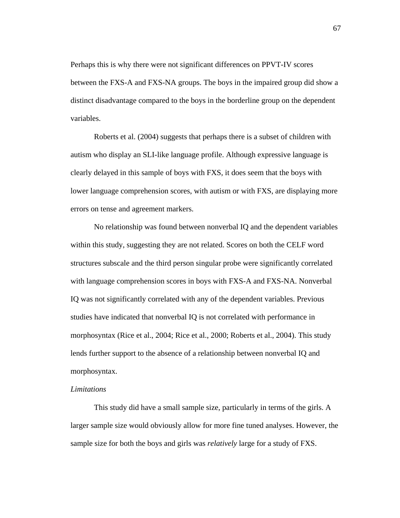Perhaps this is why there were not significant differences on PPVT-IV scores between the FXS-A and FXS-NA groups. The boys in the impaired group did show a distinct disadvantage compared to the boys in the borderline group on the dependent variables.

 Roberts et al. (2004) suggests that perhaps there is a subset of children with autism who display an SLI-like language profile. Although expressive language is clearly delayed in this sample of boys with FXS, it does seem that the boys with lower language comprehension scores, with autism or with FXS, are displaying more errors on tense and agreement markers.

 No relationship was found between nonverbal IQ and the dependent variables within this study, suggesting they are not related. Scores on both the CELF word structures subscale and the third person singular probe were significantly correlated with language comprehension scores in boys with FXS-A and FXS-NA. Nonverbal IQ was not significantly correlated with any of the dependent variables. Previous studies have indicated that nonverbal IQ is not correlated with performance in morphosyntax (Rice et al., 2004; Rice et al., 2000; Roberts et al., 2004). This study lends further support to the absence of a relationship between nonverbal IQ and morphosyntax.

#### *Limitations*

This study did have a small sample size, particularly in terms of the girls. A larger sample size would obviously allow for more fine tuned analyses. However, the sample size for both the boys and girls was *relatively* large for a study of FXS.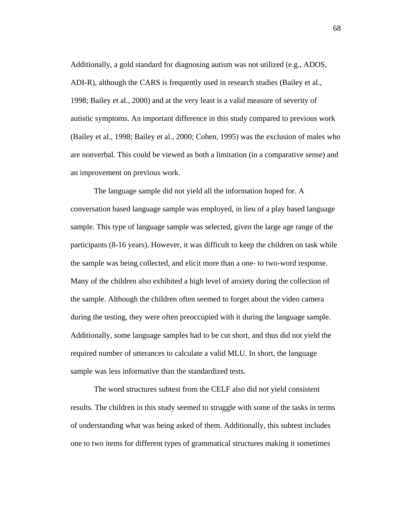Additionally, a gold standard for diagnosing autism was not utilized (e.g., ADOS, ADI-R), although the CARS is frequently used in research studies (Bailey et al., 1998; Bailey et al., 2000) and at the very least is a valid measure of severity of autistic symptoms. An important difference in this study compared to previous work (Bailey et al., 1998; Bailey et al., 2000; Cohen, 1995) was the exclusion of males who are nonverbal. This could be viewed as both a limitation (in a comparative sense) and an improvement on previous work.

The language sample did not yield all the information hoped for. A conversation based language sample was employed, in lieu of a play based language sample. This type of language sample was selected, given the large age range of the participants (8-16 years). However, it was difficult to keep the children on task while the sample was being collected, and elicit more than a one- to two-word response. Many of the children also exhibited a high level of anxiety during the collection of the sample. Although the children often seemed to forget about the video camera during the testing, they were often preoccupied with it during the language sample. Additionally, some language samples had to be cut short, and thus did not yield the required number of utterances to calculate a valid MLU. In short, the language sample was less informative than the standardized tests.

The word structures subtest from the CELF also did not yield consistent results. The children in this study seemed to struggle with some of the tasks in terms of understanding what was being asked of them. Additionally, this subtest includes one to two items for different types of grammatical structures making it sometimes

68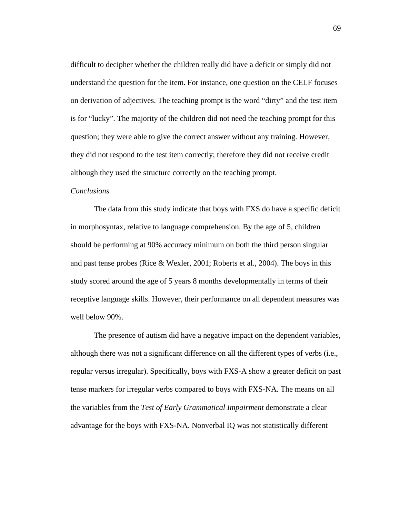difficult to decipher whether the children really did have a deficit or simply did not understand the question for the item. For instance, one question on the CELF focuses on derivation of adjectives. The teaching prompt is the word "dirty" and the test item is for "lucky". The majority of the children did not need the teaching prompt for this question; they were able to give the correct answer without any training. However, they did not respond to the test item correctly; therefore they did not receive credit although they used the structure correctly on the teaching prompt.

#### *Conclusions*

 The data from this study indicate that boys with FXS do have a specific deficit in morphosyntax, relative to language comprehension. By the age of 5, children should be performing at 90% accuracy minimum on both the third person singular and past tense probes (Rice & Wexler, 2001; Roberts et al., 2004). The boys in this study scored around the age of 5 years 8 months developmentally in terms of their receptive language skills. However, their performance on all dependent measures was well below 90%.

 The presence of autism did have a negative impact on the dependent variables, although there was not a significant difference on all the different types of verbs (i.e., regular versus irregular). Specifically, boys with FXS-A show a greater deficit on past tense markers for irregular verbs compared to boys with FXS-NA. The means on all the variables from the *Test of Early Grammatical Impairment* demonstrate a clear advantage for the boys with FXS-NA. Nonverbal IQ was not statistically different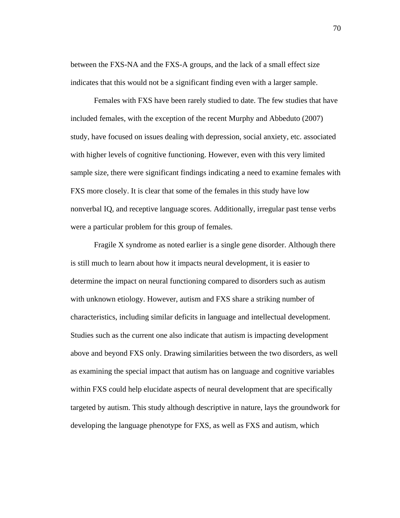between the FXS-NA and the FXS-A groups, and the lack of a small effect size indicates that this would not be a significant finding even with a larger sample.

 Females with FXS have been rarely studied to date. The few studies that have included females, with the exception of the recent Murphy and Abbeduto (2007) study, have focused on issues dealing with depression, social anxiety, etc. associated with higher levels of cognitive functioning. However, even with this very limited sample size, there were significant findings indicating a need to examine females with FXS more closely. It is clear that some of the females in this study have low nonverbal IQ, and receptive language scores. Additionally, irregular past tense verbs were a particular problem for this group of females.

 Fragile X syndrome as noted earlier is a single gene disorder. Although there is still much to learn about how it impacts neural development, it is easier to determine the impact on neural functioning compared to disorders such as autism with unknown etiology. However, autism and FXS share a striking number of characteristics, including similar deficits in language and intellectual development. Studies such as the current one also indicate that autism is impacting development above and beyond FXS only. Drawing similarities between the two disorders, as well as examining the special impact that autism has on language and cognitive variables within FXS could help elucidate aspects of neural development that are specifically targeted by autism. This study although descriptive in nature, lays the groundwork for developing the language phenotype for FXS, as well as FXS and autism, which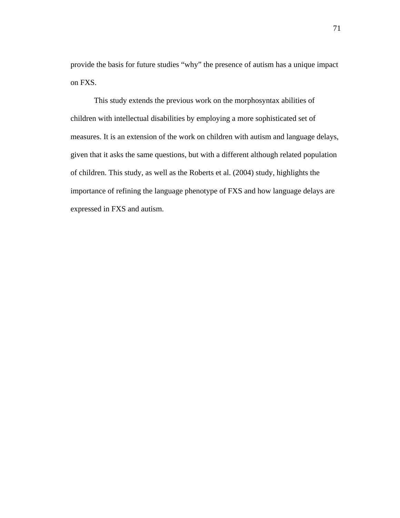provide the basis for future studies "why" the presence of autism has a unique impact on FXS.

This study extends the previous work on the morphosyntax abilities of children with intellectual disabilities by employing a more sophisticated set of measures. It is an extension of the work on children with autism and language delays, given that it asks the same questions, but with a different although related population of children. This study, as well as the Roberts et al. (2004) study, highlights the importance of refining the language phenotype of FXS and how language delays are expressed in FXS and autism.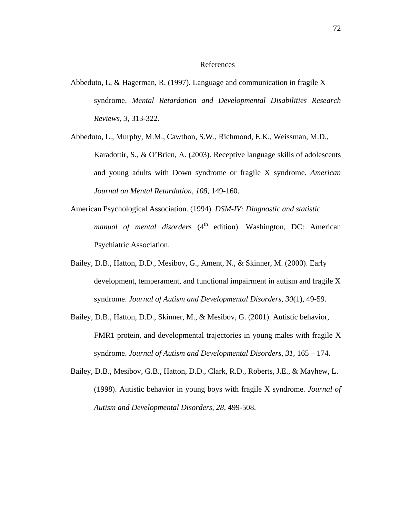### References

- Abbeduto, L, & Hagerman, R. (1997). Language and communication in fragile X syndrome. *Mental Retardation and Developmental Disabilities Research Reviews, 3,* 313-322.
- Abbeduto, L., Murphy, M.M., Cawthon, S.W., Richmond, E.K., Weissman, M.D., Karadottir, S., & O'Brien, A. (2003). Receptive language skills of adolescents and young adults with Down syndrome or fragile X syndrome. *American Journal on Mental Retardation, 108,* 149-160.
- American Psychological Association. (1994). *DSM-IV: Diagnostic and statistic manual of mental disorders* (4<sup>th</sup> edition). Washington, DC: American Psychiatric Association.
- Bailey, D.B., Hatton, D.D., Mesibov, G., Ament, N., & Skinner, M. (2000). Early development, temperament, and functional impairment in autism and fragile X syndrome. *Journal of Autism and Developmental Disorders, 30*(1), 49-59.
- Bailey, D.B., Hatton, D.D., Skinner, M., & Mesibov, G. (2001). Autistic behavior, FMR1 protein, and developmental trajectories in young males with fragile X syndrome. *Journal of Autism and Developmental Disorders, 31,* 165 – 174.
- Bailey, D.B., Mesibov, G.B., Hatton, D.D., Clark, R.D., Roberts, J.E., & Mayhew, L. (1998). Autistic behavior in young boys with fragile X syndrome. *Journal of Autism and Developmental Disorders, 28,* 499-508.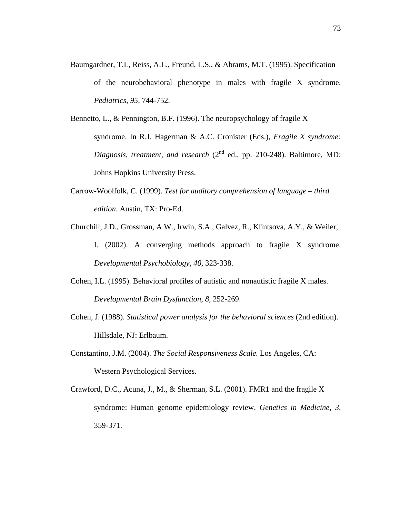- Baumgardner, T.L, Reiss, A.L., Freund, L.S., & Abrams, M.T. (1995). Specification of the neurobehavioral phenotype in males with fragile X syndrome. *Pediatrics, 95,* 744-752.
- Bennetto, L., & Pennington, B.F. (1996). The neuropsychology of fragile X syndrome. In R.J. Hagerman & A.C. Cronister (Eds.), *Fragile X syndrome: Diagnosis, treatment, and research* (2<sup>nd</sup> ed., pp. 210-248). Baltimore, MD: Johns Hopkins University Press.
- Carrow-Woolfolk, C. (1999). *Test for auditory comprehension of language third edition*. Austin, TX: Pro-Ed.
- Churchill, J.D., Grossman, A.W., Irwin, S.A., Galvez, R., Klintsova, A.Y., & Weiler, I. (2002). A converging methods approach to fragile X syndrome. *Developmental Psychobiology, 40,* 323-338.
- Cohen, I.L. (1995). Behavioral profiles of autistic and nonautistic fragile X males. *Developmental Brain Dysfunction, 8,* 252-269.
- Cohen, J. (1988). *Statistical power analysis for the behavioral sciences* (2nd edition). Hillsdale, NJ: Erlbaum.
- Constantino, J.M. (2004). *The Social Responsiveness Scale.* Los Angeles, CA: Western Psychological Services.
- Crawford, D.C., Acuna, J., M., & Sherman, S.L. (2001). FMR1 and the fragile X syndrome: Human genome epidemiology review. *Genetics in Medicine, 3,* 359-371.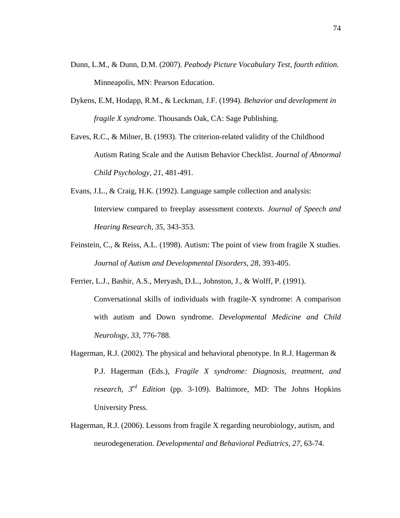- Dunn, L.M., & Dunn, D.M. (2007). *Peabody Picture Vocabulary Test, fourth edition.* Minneapolis, MN: Pearson Education.
- Dykens, E.M, Hodapp, R.M., & Leckman, J.F. (1994). *Behavior and development in fragile X syndrome*. Thousands Oak, CA: Sage Publishing.
- Eaves, R.C., & Milner, B. (1993). The criterion-related validity of the Childhood Autism Rating Scale and the Autism Behavior Checklist. *Journal of Abnormal Child Psychology, 21,* 481-491.
- Evans, J.L., & Craig, H.K. (1992). Language sample collection and analysis: Interview compared to freeplay assessment contexts. *Journal of Speech and Hearing Research, 35,* 343-353.
- Feinstein, C., & Reiss, A.L. (1998). Autism: The point of view from fragile X studies. *Journal of Autism and Developmental Disorders, 28,* 393-405.
- Ferrier, L.J., Bashir, A.S., Meryash, D.L., Johnston, J., & Wolff, P. (1991). Conversational skills of individuals with fragile-X syndrome: A comparison with autism and Down syndrome. *Developmental Medicine and Child Neurology, 33,* 776-788.
- Hagerman, R.J. (2002). The physical and behavioral phenotype. In R.J. Hagerman  $\&$ P.J. Hagerman (Eds.), *Fragile X syndrome: Diagnosis, treatment, and research*, *3rd Edition* (pp. 3-109). Baltimore, MD: The Johns Hopkins University Press.
- Hagerman, R.J. (2006). Lessons from fragile X regarding neurobiology, autism, and neurodegeneration. *Developmental and Behavioral Pediatrics, 27,* 63-74.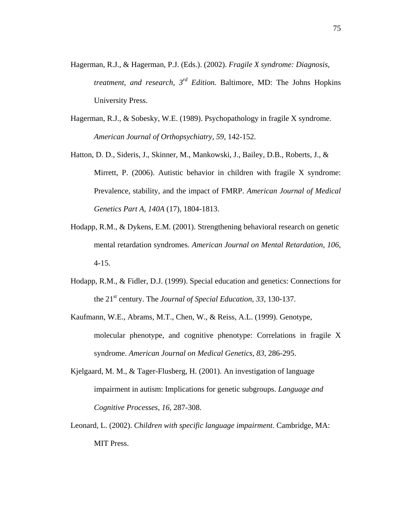- Hagerman, R.J., & Hagerman, P.J. (Eds.). (2002). *Fragile X syndrome: Diagnosis, treatment, and research, 3rd Edition.* Baltimore, MD: The Johns Hopkins University Press.
- Hagerman, R.J., & Sobesky, W.E. (1989). Psychopathology in fragile X syndrome. *American Journal of Orthopsychiatry, 59,* 142-152.
- Hatton, D. D., Sideris, J., Skinner, M., Mankowski, J., Bailey, D.B., Roberts, J., & Mirrett, P. (2006). Autistic behavior in children with fragile X syndrome: Prevalence, stability, and the impact of FMRP. *American Journal of Medical Genetics Part A, 140A* (17), 1804-1813.
- Hodapp, R.M., & Dykens, E.M. (2001). Strengthening behavioral research on genetic mental retardation syndromes. *American Journal on Mental Retardation, 106,* 4-15.
- Hodapp, R.M., & Fidler, D.J. (1999). Special education and genetics: Connections for the 21st century. The *Journal of Special Education, 33,* 130-137.
- Kaufmann, W.E., Abrams, M.T., Chen, W., & Reiss, A.L. (1999). Genotype, molecular phenotype, and cognitive phenotype: Correlations in fragile X syndrome. *American Journal on Medical Genetics, 83,* 286-295.
- Kjelgaard, M. M., & Tager-Flusberg, H. (2001). An investigation of language impairment in autism: Implications for genetic subgroups. *Language and Cognitive Processes, 16*, 287-308.
- Leonard, L. (2002). *Children with specific language impairment*. Cambridge, MA: MIT Press.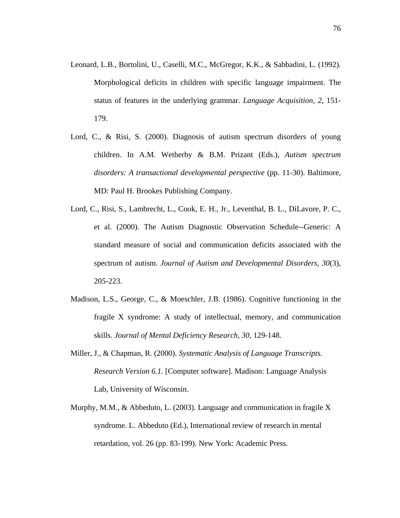- Leonard, L.B., Bortolini, U., Caselli, M.C., McGregor, K.K., & Sabbadini, L. (1992). Morphological deficits in children with specific language impairment. The status of features in the underlying grammar. *Language Acquisition, 2,* 151- 179.
- Lord, C., & Risi, S. (2000). Diagnosis of autism spectrum disorders of young children. In A.M. Wetherby & B.M. Prizant (Eds.), *Autism spectrum disorders: A transactional developmental perspective* (pp. 11-30). Baltimore, MD: Paul H. Brookes Publishing Company.
- Lord, C., Risi, S., Lambrecht, L., Cook, E. H., Jr., Leventhal, B. L., DiLavore, P. C., et al. (2000). The Autism Diagnostic Observation Schedule--Generic: A standard measure of social and communication deficits associated with the spectrum of autism. *Journal of Autism and Developmental Disorders, 30*(3), 205-223.
- Madison, L.S., George, C., & Moeschler, J.B. (1986). Cognitive functioning in the fragile X syndrome: A study of intellectual, memory, and communication skills. *Journal of Mental Deficiency Research, 30,* 129-148.
- Miller, J., & Chapman, R. (2000). *Systematic Analysis of Language Transcripts. Research Version 6.1.* [Computer software]. Madison: Language Analysis Lab, University of Wisconsin.
- Murphy, M.M.,  $\&$  Abbeduto, L. (2003). Language and communication in fragile X syndrome. L. Abbeduto (Ed.), International review of research in mental retardation, vol. 26 (pp. 83-199). New York: Academic Press.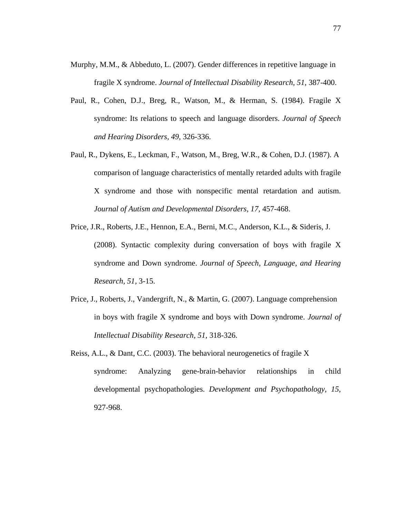- Murphy, M.M., & Abbeduto, L. (2007). Gender differences in repetitive language in fragile X syndrome. *Journal of Intellectual Disability Research, 51,* 387-400.
- Paul, R., Cohen, D.J., Breg, R., Watson, M., & Herman, S. (1984). Fragile X syndrome: Its relations to speech and language disorders. *Journal of Speech and Hearing Disorders, 49,* 326-336.
- Paul, R., Dykens, E., Leckman, F., Watson, M., Breg, W.R., & Cohen, D.J. (1987). A comparison of language characteristics of mentally retarded adults with fragile X syndrome and those with nonspecific mental retardation and autism. *Journal of Autism and Developmental Disorders, 17,* 457-468.
- Price, J.R., Roberts, J.E., Hennon, E.A., Berni, M.C., Anderson, K.L., & Sideris, J. (2008). Syntactic complexity during conversation of boys with fragile X syndrome and Down syndrome. *Journal of Speech, Language, and Hearing Research, 51,* 3-15.
- Price, J., Roberts, J., Vandergrift, N., & Martin, G. (2007). Language comprehension in boys with fragile X syndrome and boys with Down syndrome. *Journal of Intellectual Disability Research, 51,* 318-326.
- Reiss, A.L., & Dant, C.C. (2003). The behavioral neurogenetics of fragile X syndrome: Analyzing gene-brain-behavior relationships in child developmental psychopathologies. *Development and Psychopathology, 15,* 927-968.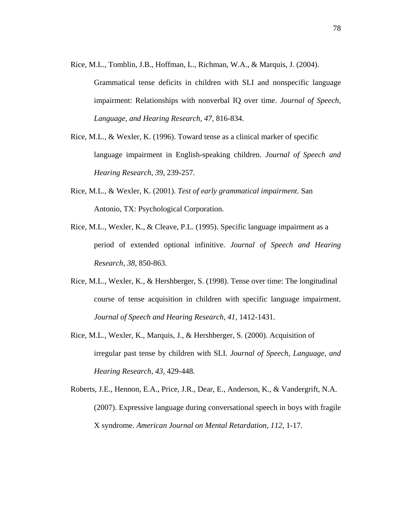- Rice, M.L., Tomblin, J.B., Hoffman, L., Richman, W.A., & Marquis, J. (2004). Grammatical tense deficits in children with SLI and nonspecific language impairment: Relationships with nonverbal IQ over time. *Journal of Speech, Language, and Hearing Research, 47,* 816-834.
- Rice, M.L., & Wexler, K. (1996). Toward tense as a clinical marker of specific language impairment in English-speaking children. *Journal of Speech and Hearing Research, 39,* 239-257.
- Rice, M.L., & Wexler, K. (2001). *Test of early grammatical impairment*. San Antonio, TX: Psychological Corporation.
- Rice, M.L., Wexler, K., & Cleave, P.L. (1995). Specific language impairment as a period of extended optional infinitive. *Journal of Speech and Hearing Research, 38,* 850-863.
- Rice, M.L., Wexler, K., & Hershberger, S. (1998). Tense over time: The longitudinal course of tense acquisition in children with specific language impairment. *Journal of Speech and Hearing Research, 41,* 1412-1431.
- Rice, M.L., Wexler, K., Marquis, J., & Hershberger, S. (2000). Acquisition of irregular past tense by children with SLI. *Journal of Speech, Language, and Hearing Research, 43,* 429-448.
- Roberts, J.E., Hennon, E.A., Price, J.R., Dear, E., Anderson, K., & Vandergrift, N.A. (2007). Expressive language during conversational speech in boys with fragile X syndrome. *American Journal on Mental Retardation, 112,* 1-17.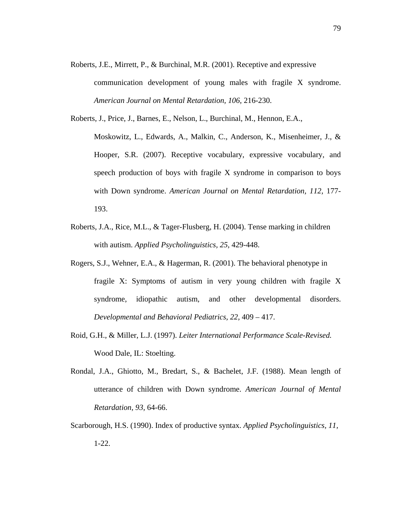- Roberts, J.E., Mirrett, P., & Burchinal, M.R. (2001). Receptive and expressive communication development of young males with fragile X syndrome. *American Journal on Mental Retardation, 106,* 216-230.
- Roberts, J., Price, J., Barnes, E., Nelson, L., Burchinal, M., Hennon, E.A.,
	- Moskowitz, L., Edwards, A., Malkin, C., Anderson, K., Misenheimer, J., & Hooper, S.R. (2007). Receptive vocabulary, expressive vocabulary, and speech production of boys with fragile X syndrome in comparison to boys with Down syndrome. *American Journal on Mental Retardation, 112,* 177- 193.
- Roberts, J.A., Rice, M.L., & Tager-Flusberg, H. (2004). Tense marking in children with autism. *Applied Psycholinguistics, 25,* 429-448.
- Rogers, S.J., Wehner, E.A., & Hagerman, R. (2001). The behavioral phenotype in fragile X: Symptoms of autism in very young children with fragile X syndrome, idiopathic autism, and other developmental disorders. *Developmental and Behavioral Pediatrics, 22,* 409 – 417.
- Roid, G.H., & Miller, L.J. (1997). *Leiter International Performance Scale-Revised.* Wood Dale, IL: Stoelting.
- Rondal, J.A., Ghiotto, M., Bredart, S., & Bachelet, J.F. (1988). Mean length of utterance of children with Down syndrome. *American Journal of Mental Retardation, 93,* 64-66.
- Scarborough, H.S. (1990). Index of productive syntax. *Applied Psycholinguistics, 11,* 1-22.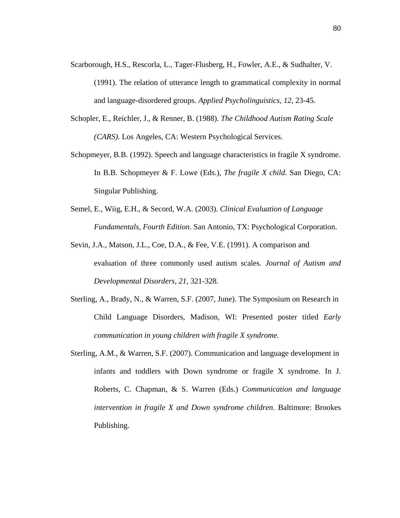- Scarborough, H.S., Rescorla, L., Tager-Flusberg, H., Fowler, A.E., & Sudhalter, V. (1991). The relation of utterance length to grammatical complexity in normal and language-disordered groups. *Applied Psycholinguistics, 12,* 23-45.
- Schopler, E., Reichler, J., & Renner, B. (1988). *The Childhood Autism Rating Scale (CARS)*. Los Angeles, CA: Western Psychological Services.
- Schopmeyer, B.B. (1992). Speech and language characteristics in fragile X syndrome. In B.B. Schopmeyer & F. Lowe (Eds.), *The fragile X child*. San Diego, CA: Singular Publishing.
- Semel, E., Wiig, E.H., & Secord, W.A. (2003). *Clinical Evaluation of Language Fundamentals, Fourth Edition*. San Antonio, TX: Psychological Corporation.
- Sevin, J.A., Matson, J.L., Coe, D.A., & Fee, V.E. (1991). A comparison and evaluation of three commonly used autism scales. *Journal of Autism and Developmental Disorders, 21,* 321-328.
- Sterling, A., Brady, N., & Warren, S.F. (2007, June). The Symposium on Research in Child Language Disorders, Madison, WI: Presented poster titled *Early communication in young children with fragile X syndrome.*
- Sterling, A.M., & Warren, S.F. (2007). Communication and language development in infants and toddlers with Down syndrome or fragile X syndrome. In J. Roberts, C. Chapman, & S. Warren (Eds.) *Communication and language intervention in fragile X and Down syndrome children*. Baltimore: Brookes Publishing.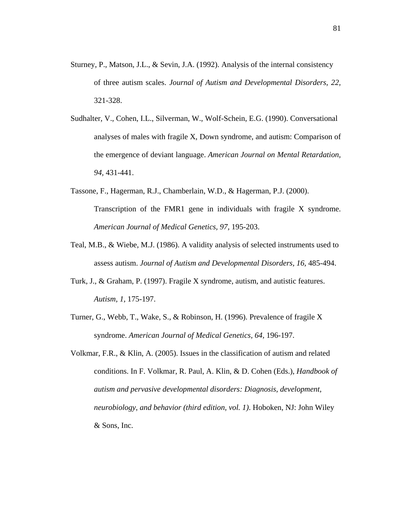- Sturney, P., Matson, J.L., & Sevin, J.A. (1992). Analysis of the internal consistency of three autism scales. *Journal of Autism and Developmental Disorders, 22,* 321-328.
- Sudhalter, V., Cohen, I.L., Silverman, W., Wolf-Schein, E.G. (1990). Conversational analyses of males with fragile X, Down syndrome, and autism: Comparison of the emergence of deviant language. *American Journal on Mental Retardation, 94,* 431-441.
- Tassone, F., Hagerman, R.J., Chamberlain, W.D., & Hagerman, P.J. (2000). Transcription of the FMR1 gene in individuals with fragile X syndrome. *American Journal of Medical Genetics, 97,* 195-203.
- Teal, M.B., & Wiebe, M.J. (1986). A validity analysis of selected instruments used to assess autism. *Journal of Autism and Developmental Disorders, 16,* 485-494.
- Turk, J., & Graham, P. (1997). Fragile X syndrome, autism, and autistic features. *Autism, 1,* 175-197.
- Turner, G., Webb, T., Wake, S., & Robinson, H. (1996). Prevalence of fragile X syndrome. *American Journal of Medical Genetics, 64,* 196-197.
- Volkmar, F.R., & Klin, A. (2005). Issues in the classification of autism and related conditions. In F. Volkmar, R. Paul, A. Klin, & D. Cohen (Eds.), *Handbook of autism and pervasive developmental disorders: Diagnosis, development, neurobiology, and behavior (third edition, vol. 1)*. Hoboken, NJ: John Wiley & Sons, Inc.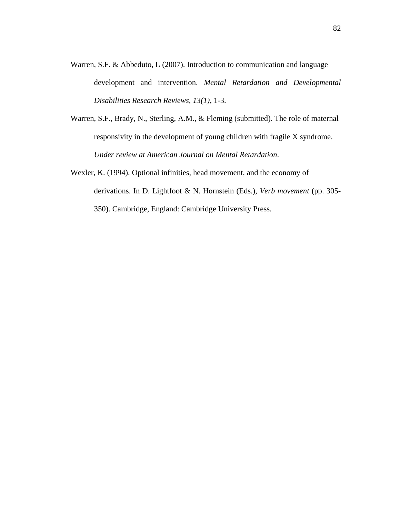- Warren, S.F. & Abbeduto, L (2007). Introduction to communication and language development and intervention. *Mental Retardation and Developmental Disabilities Research Reviews, 13(1),* 1-3.
- Warren, S.F., Brady, N., Sterling, A.M., & Fleming (submitted). The role of maternal responsivity in the development of young children with fragile X syndrome. *Under review at American Journal on Mental Retardation*.
- Wexler, K. (1994). Optional infinities, head movement, and the economy of derivations. In D. Lightfoot & N. Hornstein (Eds.), *Verb movement* (pp. 305- 350). Cambridge, England: Cambridge University Press.